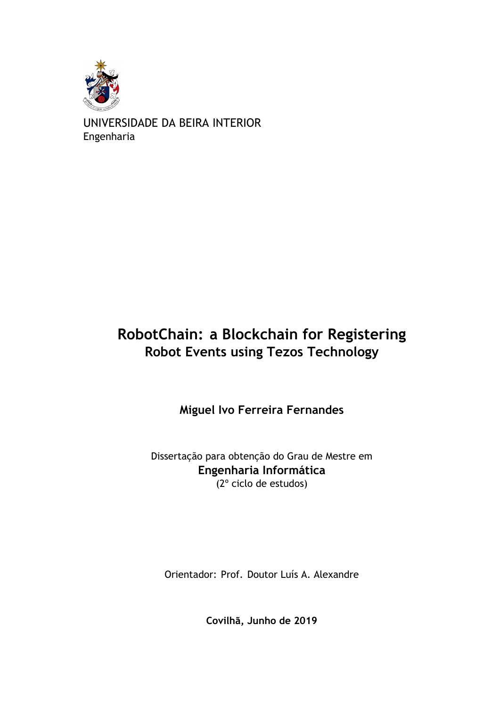

UNIVERSIDADE DA BEIRA INTERIOR Engenharia

## **RobotChain: a Blockchain for Registering Robot Events using Tezos Technology**

**Miguel Ivo Ferreira Fernandes**

Dissertação para obtenção do Grau de Mestre em **Engenharia Informática** (2º ciclo de estudos)

Orientador: Prof. Doutor Luís A. Alexandre

**Covilhã, Junho de 2019**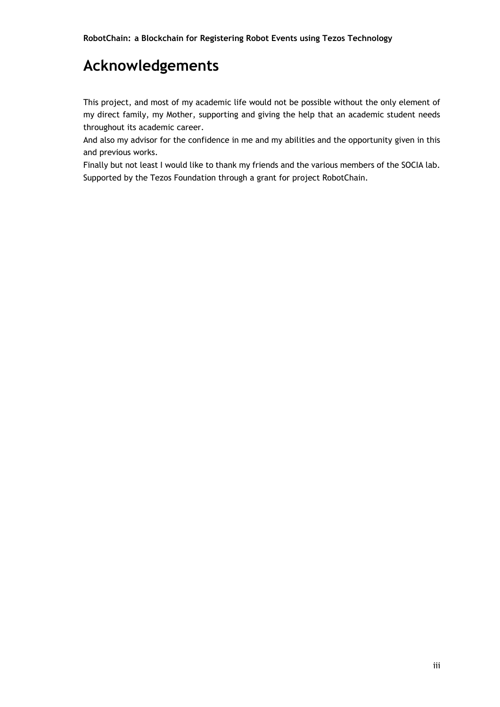## **Acknowledgements**

This project, and most of my academic life would not be possible without the only element of my direct family, my Mother, supporting and giving the help that an academic student needs throughout its academic career.

And also my advisor for the confidence in me and my abilities and the opportunity given in this and previous works.

Finally but not least I would like to thank my friends and the various members of the SOCIA lab. Supported by the Tezos Foundation through a grant for project RobotChain.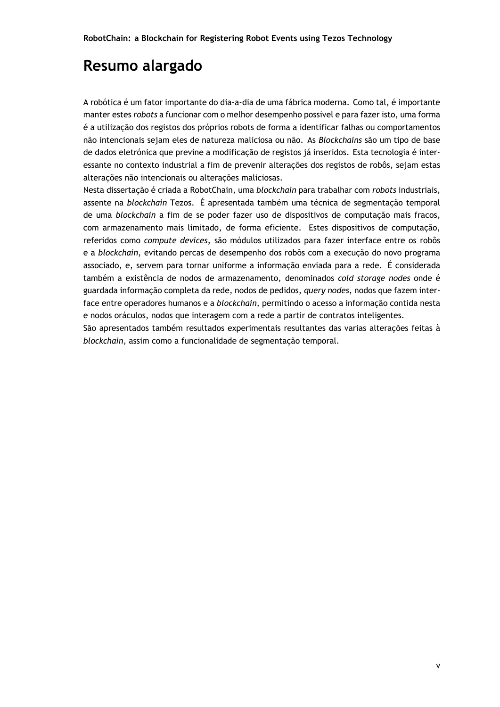## **Resumo alargado**

A robótica é um fator importante do dia-a-dia de uma fábrica moderna. Como tal, é importante manter estes *robots* a funcionar com o melhor desempenho possível e para fazer isto, uma forma é a utilização dos registos dos próprios robots de forma a identificar falhas ou comportamentos não intencionais sejam eles de natureza maliciosa ou não. As *Blockchains* são um tipo de base de dados eletrónica que previne a modificação de registos já inseridos. Esta tecnologia é interessante no contexto industrial a fim de prevenir alterações dos registos de robôs, sejam estas alterações não intencionais ou alterações maliciosas.

Nesta dissertação é criada a RobotChain, uma *blockchain* para trabalhar com *robots* industriais, assente na *blockchain* Tezos. É apresentada também uma técnica de segmentação temporal de uma *blockchain* a fim de se poder fazer uso de dispositivos de computação mais fracos, com armazenamento mais limitado, de forma eficiente. Estes dispositivos de computação, referidos como *compute devices*, são módulos utilizados para fazer interface entre os robôs e a *blockchain*, evitando percas de desempenho dos robôs com a execução do novo programa associado, e, servem para tornar uniforme a informação enviada para a rede. É considerada também a existência de nodos de armazenamento, denominados *cold storage nodes* onde é guardada informação completa da rede, nodos de pedidos, *query nodes*, nodos que fazem interface entre operadores humanos e a *blockchain*, permitindo o acesso a informação contida nesta e nodos oráculos, nodos que interagem com a rede a partir de contratos inteligentes.

São apresentados também resultados experimentais resultantes das varias alterações feitas à *blockchain*, assim como a funcionalidade de segmentação temporal.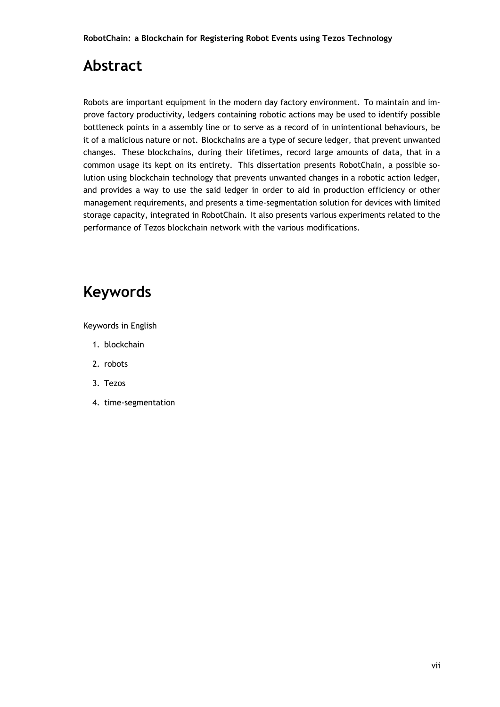## **Abstract**

Robots are important equipment in the modern day factory environment. To maintain and improve factory productivity, ledgers containing robotic actions may be used to identify possible bottleneck points in a assembly line or to serve as a record of in unintentional behaviours, be it of a malicious nature or not. Blockchains are a type of secure ledger, that prevent unwanted changes. These blockchains, during their lifetimes, record large amounts of data, that in a common usage its kept on its entirety. This dissertation presents RobotChain, a possible solution using blockchain technology that prevents unwanted changes in a robotic action ledger, and provides a way to use the said ledger in order to aid in production efficiency or other management requirements, and presents a time-segmentation solution for devices with limited storage capacity, integrated in RobotChain. It also presents various experiments related to the performance of Tezos blockchain network with the various modifications.

## **Keywords**

Keywords in English

- 1. blockchain
- 2. robots
- 3. Tezos
- 4. time-segmentation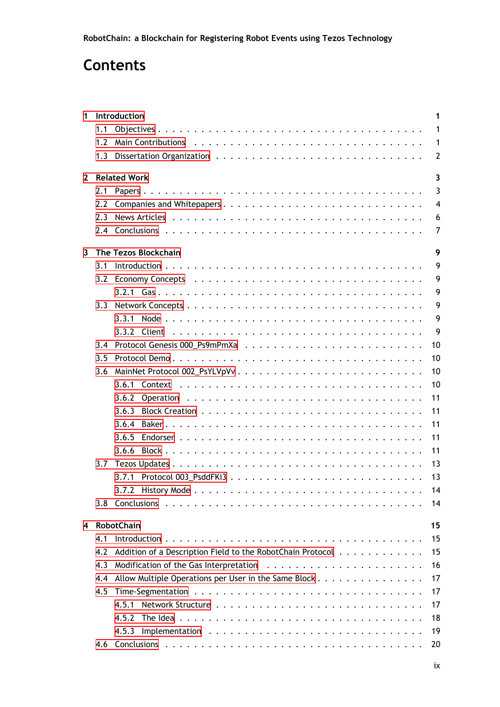## **Contents**

| 1.           |     | Introduction<br>1                                                |
|--------------|-----|------------------------------------------------------------------|
|              | 1.1 | 1                                                                |
|              | 1.2 | $\mathbf{1}$                                                     |
|              | 1.3 | $\overline{2}$                                                   |
| $\mathbf{2}$ |     | <b>Related Work</b><br>3                                         |
|              | 2.1 | $\overline{3}$                                                   |
|              | 2.2 | $\overline{4}$                                                   |
|              | 2.3 | 6                                                                |
|              | 2.4 | 7                                                                |
| 3            |     | The Tezos Blockchain<br>9                                        |
|              | 3.1 | 9                                                                |
|              |     | 9                                                                |
|              |     | 9                                                                |
|              | 3.3 | 9                                                                |
|              |     | 9<br>3.3.1                                                       |
|              |     | 9                                                                |
|              | 3.4 | 10                                                               |
|              | 3.5 | 10                                                               |
|              | 3.6 | 10                                                               |
|              |     | 10                                                               |
|              |     | 11                                                               |
|              |     | 3.6.2<br>11<br>3.6.3                                             |
|              |     |                                                                  |
|              |     | 11<br>3.6.4                                                      |
|              |     | 11<br>3.6.5                                                      |
|              |     | 11<br>3.6.6                                                      |
|              | 3.7 | 13                                                               |
|              |     | 13                                                               |
|              |     | 14                                                               |
|              | 3.8 | 14                                                               |
| 4            |     | <b>RobotChain</b><br>15                                          |
|              | 4.1 | 15                                                               |
|              | 4.2 | 15<br>Addition of a Description Field to the RobotChain Protocol |
|              | 4.3 | 16                                                               |
|              | 4.4 | Allow Multiple Operations per User in the Same Block<br>17       |
|              | 4.5 | 17                                                               |
|              |     | 17<br>4.5.1                                                      |
|              |     | 18<br>4.5.2                                                      |
|              |     | 19<br>4.5.3                                                      |
|              | 4.6 | 20                                                               |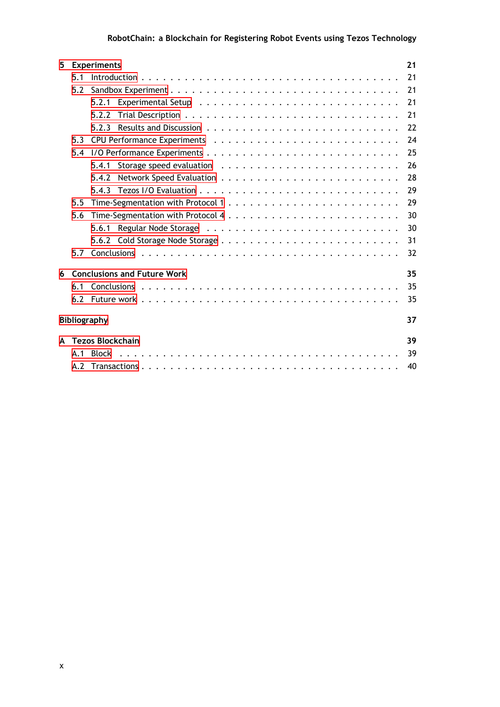| <u>in the contract of the contract of the contract of the contract of the contract of the contract of the contract of the contract of the contract of the contract of the contract of the contract of the contract of the contra</u><br>$\sim$<br>$\sim$ |  |
|----------------------------------------------------------------------------------------------------------------------------------------------------------------------------------------------------------------------------------------------------------|--|

| <b>Experiments</b><br>5.<br>5.1<br>5.2<br>5.2.1<br>5.2.2<br>5.2.3<br>5.3<br>5.4 |    |
|---------------------------------------------------------------------------------|----|
|                                                                                 | 21 |
|                                                                                 | 21 |
|                                                                                 | 21 |
|                                                                                 | 21 |
|                                                                                 | 21 |
|                                                                                 | 22 |
|                                                                                 | 24 |
|                                                                                 | 25 |
| 5.4.1                                                                           | 26 |
| 5.4.2                                                                           | 28 |
| 5.4.3                                                                           | 29 |
| 5.5                                                                             | 29 |
| 5.6                                                                             | 30 |
| 5.6.1                                                                           | 30 |
|                                                                                 | 31 |
| 5.7                                                                             | 32 |
|                                                                                 |    |
| <b>Conclusions and Future Work</b><br>6                                         | 35 |
| 6.1                                                                             | 35 |
|                                                                                 | 35 |
|                                                                                 |    |
| <b>Bibliography</b>                                                             | 37 |
| <b>Tezos Blockchain</b><br>A                                                    | 39 |
| <b>Block</b><br>A.1                                                             | 39 |
|                                                                                 | 40 |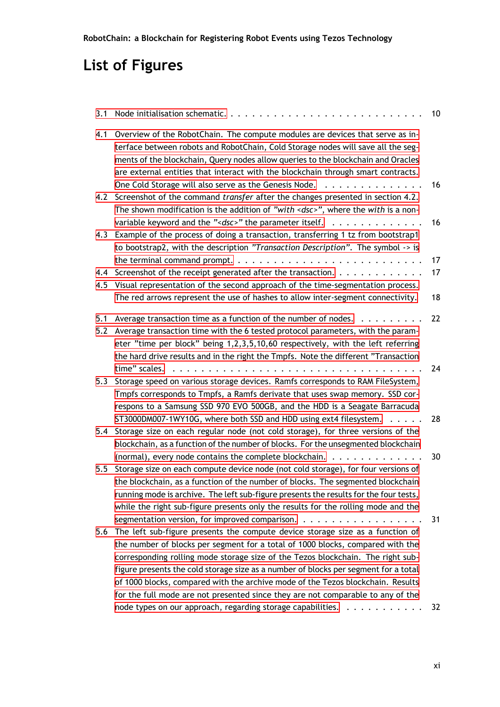# **List of Figures**

| 3.1        |                                                                                                                                                                                                                                                                                                                                                                                                                                                                                                                                                                                                               | 10       |
|------------|---------------------------------------------------------------------------------------------------------------------------------------------------------------------------------------------------------------------------------------------------------------------------------------------------------------------------------------------------------------------------------------------------------------------------------------------------------------------------------------------------------------------------------------------------------------------------------------------------------------|----------|
| 4.1        | Overview of the RobotChain. The compute modules are devices that serve as in-<br>terface between robots and RobotChain, Cold Storage nodes will save all the seg-<br>ments of the blockchain, Query nodes allow queries to the blockchain and Oracles<br>are external entities that interact with the blockchain through smart contracts.                                                                                                                                                                                                                                                                     |          |
| 4.2        | One Cold Storage will also serve as the Genesis Node.<br>Screenshot of the command <i>transfer</i> after the changes presented in section 4.2.<br>The shown modification is the addition of "with <dsc>", where the with is a non-</dsc>                                                                                                                                                                                                                                                                                                                                                                      | 16       |
| 4.3        | variable keyword and the " <dsc>" the parameter itself. <math>\ldots \ldots \ldots \ldots</math><br/>Example of the process of doing a transaction, transferring 1 tz from bootstrap1<br/>to bootstrap2, with the description "Transaction Description". The symbol -&gt; is</dsc>                                                                                                                                                                                                                                                                                                                            | 16       |
| 4.4<br>4.5 | Screenshot of the receipt generated after the transaction.<br>Visual representation of the second approach of the time-segmentation process.                                                                                                                                                                                                                                                                                                                                                                                                                                                                  | 17<br>17 |
|            | The red arrows represent the use of hashes to allow inter-segment connectivity.                                                                                                                                                                                                                                                                                                                                                                                                                                                                                                                               | 18       |
| 5.1<br>5.2 | Average transaction time as a function of the number of nodes.<br>.<br>Average transaction time with the 6 tested protocol parameters, with the param-<br>eter "time per block" being 1,2,3,5,10,60 respectively, with the left referring                                                                                                                                                                                                                                                                                                                                                                     | 22       |
| 5.3        | the hard drive results and in the right the Tmpfs. Note the different "Transaction<br>time" scales.<br>Storage speed on various storage devices. Ramfs corresponds to RAM FileSystem,<br>Tmpfs corresponds to Tmpfs, a Ramfs derivate that uses swap memory. SSD cor-<br>respons to a Samsung SSD 970 EVO 500GB, and the HDD is a Seagate Barracuda                                                                                                                                                                                                                                                           | 24       |
| 5.4        | ST3000DM007-1WY10G, where both SSD and HDD using ext4 filesystem.<br>Storage size on each regular node (not cold storage), for three versions of the<br>blockchain, as a function of the number of blocks. For the unsegmented blockchain                                                                                                                                                                                                                                                                                                                                                                     | 28       |
| 5.5        | (normal), every node contains the complete blockchain. $\dots \dots \dots \dots \dots$<br>Storage size on each compute device node (not cold storage), for four versions of<br>the blockchain, as a function of the number of blocks. The segmented blockchain<br>running mode is archive. The left sub-figure presents the results for the four tests,<br>while the right sub-figure presents only the results for the rolling mode and the                                                                                                                                                                  | 30       |
| 5.6        | segmentation version, for improved comparison. $\dots \dots \dots \dots \dots \dots \dots$<br>The left sub-figure presents the compute device storage size as a function of<br>the number of blocks per segment for a total of 1000 blocks, compared with the<br>corresponding rolling mode storage size of the Tezos blockchain. The right sub-<br>figure presents the cold storage size as a number of blocks per segment for a total<br>of 1000 blocks, compared with the archive mode of the Tezos blockchain. Results<br>for the full mode are not presented since they are not comparable to any of the | 31       |
|            | node types on our approach, regarding storage capabilities.                                                                                                                                                                                                                                                                                                                                                                                                                                                                                                                                                   | 32       |

**RobotChain: a Blockchain for Registering Robot Events using Tezos Technology**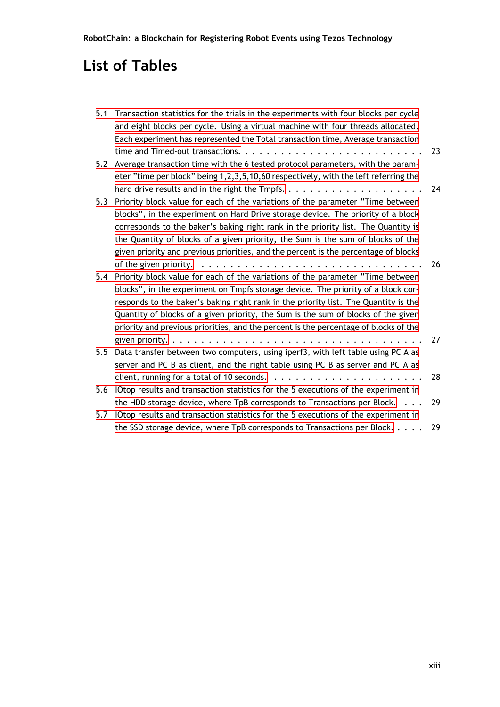## **List of Tables**

| 5.1 | Transaction statistics for the trials in the experiments with four blocks per cycle                    |    |
|-----|--------------------------------------------------------------------------------------------------------|----|
|     | and eight blocks per cycle. Using a virtual machine with four threads allocated.                       |    |
|     | Each experiment has represented the Total transaction time, Average transaction                        |    |
|     |                                                                                                        | 23 |
| 5.2 | Average transaction time with the 6 tested protocol parameters, with the param-                        |    |
|     | eter "time per block" being 1,2,3,5,10,60 respectively, with the left referring the                    |    |
|     |                                                                                                        | 24 |
| 5.3 | Priority block value for each of the variations of the parameter "Time between                         |    |
|     | blocks", in the experiment on Hard Drive storage device. The priority of a block                       |    |
|     | corresponds to the baker's baking right rank in the priority list. The Quantity is                     |    |
|     | the Quantity of blocks of a given priority, the Sum is the sum of blocks of the                        |    |
|     | given priority and previous priorities, and the percent is the percentage of blocks                    |    |
|     | of the given priority. $\dots \dots \dots \dots \dots \dots \dots \dots \dots \dots \dots \dots \dots$ | 26 |
| 5.4 | Priority block value for each of the variations of the parameter "Time between                         |    |
|     | blocks", in the experiment on Tmpfs storage device. The priority of a block cor-                       |    |
|     | responds to the baker's baking right rank in the priority list. The Quantity is the                    |    |
|     | Quantity of blocks of a given priority, the Sum is the sum of blocks of the given                      |    |
|     | priority and previous priorities, and the percent is the percentage of blocks of the                   |    |
|     |                                                                                                        | 27 |
| 5.5 | Data transfer between two computers, using iperf3, with left table using PC A as                       |    |
|     | server and PC B as client, and the right table using PC B as server and PC A as                        |    |
|     | client, running for a total of 10 seconds. $\ldots \ldots \ldots \ldots \ldots \ldots \ldots \ldots$   | 28 |
| 5.6 | IOtop results and transaction statistics for the 5 executions of the experiment in                     |    |
|     | the HDD storage device, where $TpB$ corresponds to Transactions per Block. $\ldots$                    | 29 |
| 5.7 | IOtop results and transaction statistics for the 5 executions of the experiment in                     |    |
|     | the SSD storage device, where TpB corresponds to Transactions per Block.                               | 29 |

**RobotChain: a Blockchain for Registering Robot Events using Tezos Technology**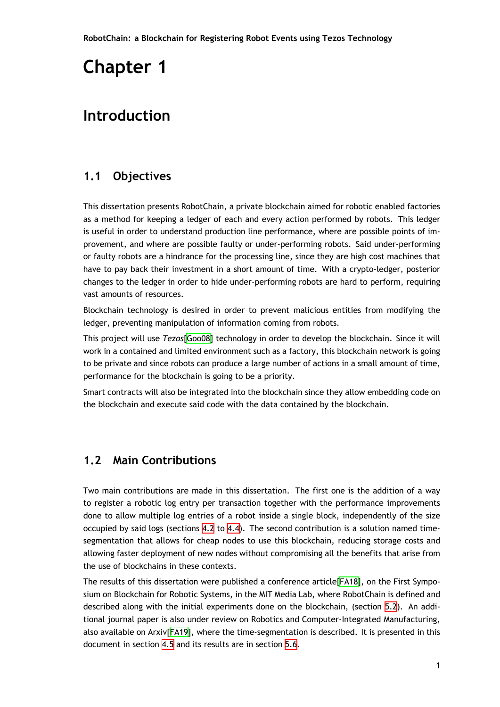## <span id="page-14-3"></span><span id="page-14-0"></span>**Introduction**

### **1.1 Objectives**

<span id="page-14-1"></span>This dissertation presents RobotChain, a private blockchain aimed for robotic enabled factories as a method for keeping a ledger of each and every action performed by robots. This ledger is useful in order to understand production line performance, where are possible points of improvement, and where are possible faulty or under-performing robots. Said under-performing or faulty robots are a hindrance for the processing line, since they are high cost machines that have to pay back their investment in a short amount of time. With a crypto-ledger, posterior changes to the ledger in order to hide under-performing robots are hard to perform, requiring vast amounts of resources.

Blockchain technology is desired in order to prevent malicious entities from modifying the ledger, preventing manipulation of information coming from robots.

This project will use *Tezos*[Goo08] technology in order to develop the blockchain. Since it will work in a contained and limited environment such as a factory, this blockchain network is going to be private and since robots can produce a large number of actions in a small amount of time, performance for the blockc[hain is](#page-50-1) going to be a priority.

Smart contracts will also be integrated into the blockchain since they allow embedding code on the blockchain and execute said code with the data contained by the blockchain.

#### **1.2 Main Contributions**

<span id="page-14-2"></span>Two main contributions are made in this dissertation. The first one is the addition of a way to register a robotic log entry per transaction together with the performance improvements done to allow multiple log entries of a robot inside a single block, independently of the size occupied by said logs (sections 4.2 to 4.4). The second contribution is a solution named timesegmentation that allows for cheap nodes to use this blockchain, reducing storage costs and allowing faster deployment of new nodes without compromising all the benefits that arise from the use of blockchains in these [con](#page-28-2)tex[ts.](#page-30-0)

The results of this dissertation were published a conference article[FA18], on the First Symposium on Blockchain for Robotic Systems, in the MIT Media Lab, where RobotChain is defined and described along with the initial experiments done on the blockchain, (section 5.2). An additional journal paper is also under review on Robotics and Computer[-Integ](#page-50-2)rated Manufacturing, also available on Arxiv[FA19], where the time-segmentation is described. It is presented in this document in section 4.5 and its results are in section 5.6.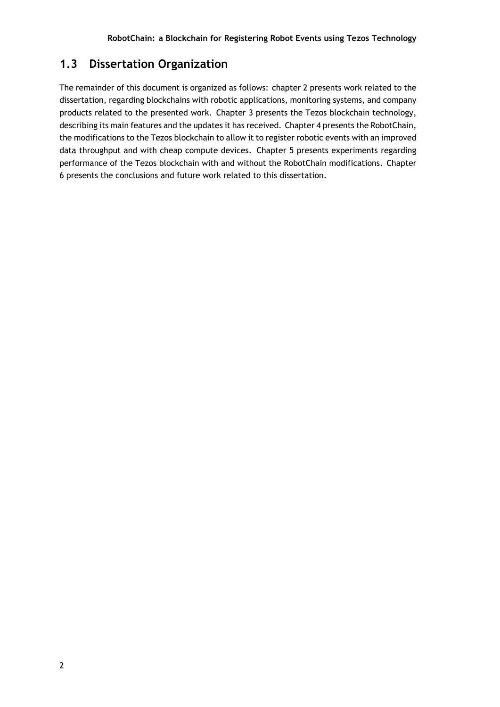### <span id="page-15-0"></span>**1.3 Dissertation Organization**

The remainder of this document is organized as follows: chapter 2 presents work related to the dissertation, regarding blockchains with robotic applications, monitoring systems, and company products related to the presented work. Chapter 3 presents the Tezos blockchain technology, describing its main features and the updates it has received. Chapter 4 presents the RobotChain, the modifications to the Tezos blockchain to allow it to register robotic events with an improved data throughput and with cheap compute devices. Chapter 5 presents experiments regarding performance of the Tezos blockchain with and without the RobotChain modifications. Chapter 6 presents the conclusions and future work related to this dissertation.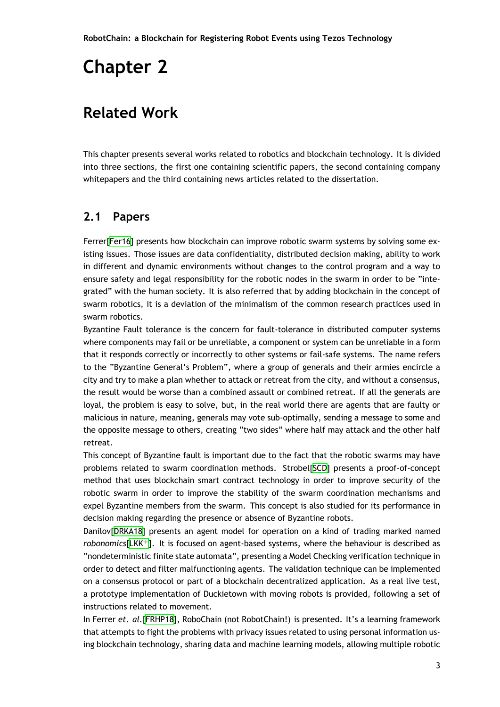## <span id="page-16-2"></span><span id="page-16-0"></span>**Related Work**

This chapter presents several works related to robotics and blockchain technology. It is divided into three sections, the first one containing scientific papers, the second containing company whitepapers and the third containing news articles related to the dissertation.

### **2.1 Papers**

<span id="page-16-1"></span>Ferrer[Fer16] presents how blockchain can improve robotic swarm systems by solving some existing issues. Those issues are data confidentiality, distributed decision making, ability to work in different and dynamic environments without changes to the control program and a way to ensure [safety](#page-50-3) and legal responsibility for the robotic nodes in the swarm in order to be "integrated" with the human society. It is also referred that by adding blockchain in the concept of swarm robotics, it is a deviation of the minimalism of the common research practices used in swarm robotics.

Byzantine Fault tolerance is the concern for fault-tolerance in distributed computer systems where components may fail or be unreliable, a component or system can be unreliable in a form that it responds correctly or incorrectly to other systems or fail-safe systems. The name refers to the "Byzantine General's Problem", where a group of generals and their armies encircle a city and try to make a plan whether to attack or retreat from the city, and without a consensus, the result would be worse than a combined assault or combined retreat. If all the generals are loyal, the problem is easy to solve, but, in the real world there are agents that are faulty or malicious in nature, meaning, generals may vote sub-optimally, sending a message to some and the opposite message to others, creating "two sides" where half may attack and the other half retreat.

This concept of Byzantine fault is important due to the fact that the robotic swarms may have problems related to swarm coordination methods. Strobel[SCD] presents a proof-of-concept method that uses blockchain smart contract technology in order to improve security of the robotic swarm in order to improve the stability of the swarm coordination mechanisms and expel Byzantine members from the swarm. This concept is [also](#page-51-0) studied for its performance in decision making regarding the presence or absence of Byzantine robots.

Danilov[DRKA18] presents an agent model for operation on a kind of trading marked named *robonomics*[LKK<sup>+</sup>]. It is focused on agent-based systems, where the behaviour is described as "nondeterministic finite state automata", presenting a Model Checking verification technique in order to [detect a](#page-50-4)nd filter malfunctioning agents. The validation technique can be implemented on a consen[sus pr](#page-51-1)otocol or part of a blockchain decentralized application. As a real live test, a prototype implementation of Duckietown with moving robots is provided, following a set of instructions related to movement.

In Ferrer *et. al.*[FRHP18], RoboChain (not RobotChain!) is presented. It's a learning framework that attempts to fight the problems with privacy issues related to using personal information using blockchain technology, sharing data and machine learning models, allowing multiple robotic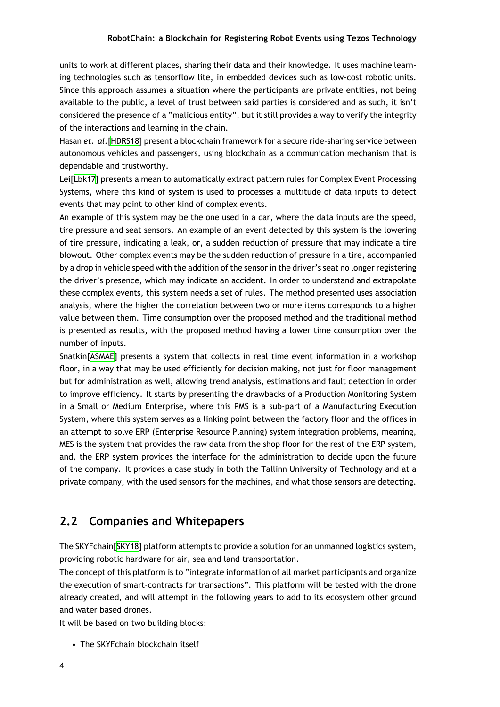<span id="page-17-1"></span>units to work at different places, sharing their data and their knowledge. It uses machine learning technologies such as tensorflow lite, in embedded devices such as low-cost robotic units. Since this approach assumes a situation where the participants are private entities, not being available to the public, a level of trust between said parties is considered and as such, it isn't considered the presence of a "malicious entity", but it still provides a way to verify the integrity of the interactions and learning in the chain.

Hasan *et. al.*[HDRS18] present a blockchain framework for a secure ride-sharing service between autonomous vehicles and passengers, using blockchain as a communication mechanism that is dependable and trustworthy.

Lei[Lbk17] pr[esents a](#page-50-5) mean to automatically extract pattern rules for Complex Event Processing Systems, where this kind of system is used to processes a multitude of data inputs to detect events that may point to other kind of complex events.

An [examp](#page-51-2)le of this system may be the one used in a car, where the data inputs are the speed, tire pressure and seat sensors. An example of an event detected by this system is the lowering of tire pressure, indicating a leak, or, a sudden reduction of pressure that may indicate a tire blowout. Other complex events may be the sudden reduction of pressure in a tire, accompanied by a drop in vehicle speed with the addition of the sensor in the driver's seat no longer registering the driver's presence, which may indicate an accident. In order to understand and extrapolate these complex events, this system needs a set of rules. The method presented uses association analysis, where the higher the correlation between two or more items corresponds to a higher value between them. Time consumption over the proposed method and the traditional method is presented as results, with the proposed method having a lower time consumption over the number of inputs.

Snatkin[ASMAE] presents a system that collects in real time event information in a workshop floor, in a way that may be used efficiently for decision making, not just for floor management but for administration as well, allowing trend analysis, estimations and fault detection in order to impr[ove effi](#page-50-6)ciency. It starts by presenting the drawbacks of a Production Monitoring System in a Small or Medium Enterprise, where this PMS is a sub-part of a Manufacturing Execution System, where this system serves as a linking point between the factory floor and the offices in an attempt to solve ERP (Enterprise Resource Planning) system integration problems, meaning, MES is the system that provides the raw data from the shop floor for the rest of the ERP system, and, the ERP system provides the interface for the administration to decide upon the future of the company. It provides a case study in both the Tallinn University of Technology and at a private company, with the used sensors for the machines, and what those sensors are detecting.

#### **2.2 Companies and Whitepapers**

<span id="page-17-0"></span>The SKYFchain[SKY18] platform attempts to provide a solution for an unmanned logistics system, providing robotic hardware for air, sea and land transportation.

The concept of this platform is to "integrate information of all market participants and organize the execution [of smar](#page-51-3)t-contracts for transactions". This platform will be tested with the drone already created, and will attempt in the following years to add to its ecosystem other ground and water based drones.

It will be based on two building blocks:

• The SKYFchain blockchain itself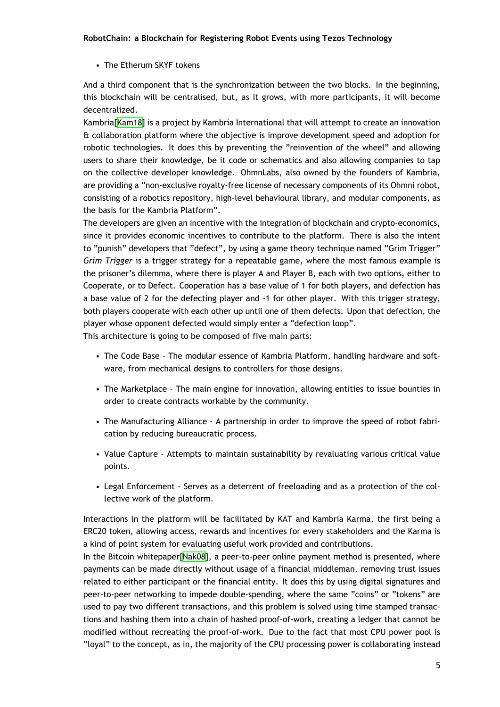• The Etherum SKYF tokens

And a third component that is the synchronization between the two blocks. In the beginning, this blockchain will be centralised, but, as it grows, with more participants, it will become decentralized.

Kambria[Kam18] is a project by Kambria International that will attempt to create an innovation & collaboration platform where the objective is improve development speed and adoption for robotic technologies. It does this by preventing the "reinvention of the wheel" and allowing users to [share t](#page-50-7)heir knowledge, be it code or schematics and also allowing companies to tap on the collective developer knowledge. OhmnLabs, also owned by the founders of Kambria, are providing a "non-exclusive royalty-free license of necessary components of its Ohmni robot, consisting of a robotics repository, high-level behavioural library, and modular components, as the basis for the Kambria Platform".

The developers are given an incentive with the integration of blockchain and crypto-economics, since it provides economic incentives to contribute to the platform. There is also the intent to "punish" developers that "defect", by using a game theory technique named "Grim Trigger" *Grim Trigger* is a trigger strategy for a repeatable game, where the most famous example is the prisoner's dilemma, where there is player A and Player B, each with two options, either to Cooperate, or to Defect. Cooperation has a base value of 1 for both players, and defection has a base value of 2 for the defecting player and -1 for other player. With this trigger strategy, both players cooperate with each other up until one of them defects. Upon that defection, the player whose opponent defected would simply enter a "defection loop".

This architecture is going to be composed of five main parts:

- The Code Base The modular essence of Kambria Platform, handling hardware and software, from mechanical designs to controllers for those designs.
- The Marketplace The main engine for innovation, allowing entities to issue bounties in order to create contracts workable by the community.
- The Manufacturing Alliance A partnership in order to improve the speed of robot fabrication by reducing bureaucratic process.
- Value Capture Attempts to maintain sustainability by revaluating various critical value points.
- Legal Enforcement Serves as a deterrent of freeloading and as a protection of the collective work of the platform.

Interactions in the platform will be facilitated by KAT and Kambria Karma, the first being a ERC20 token, allowing access, rewards and incentives for every stakeholders and the Karma is a kind of point system for evaluating useful work provided and contributions.

In the Bitcoin whitepaper[Nak08], a peer-to-peer online payment method is presented, where payments can be made directly without usage of a financial middleman, removing trust issues related to either participant or the financial entity. It does this by using digital signatures and peer-to-peer networkingt[o impe](#page-51-4)de double-spending, where the same "coins" or "tokens" are used to pay two different transactions, and this problem is solved using time stamped transactions and hashing them into a chain of hashed proof-of-work, creating a ledger that cannot be modified without recreating the proof-of-work. Due to the fact that most CPU power pool is "loyal" to the concept, as in, the majority of the CPU processing power is collaborating instead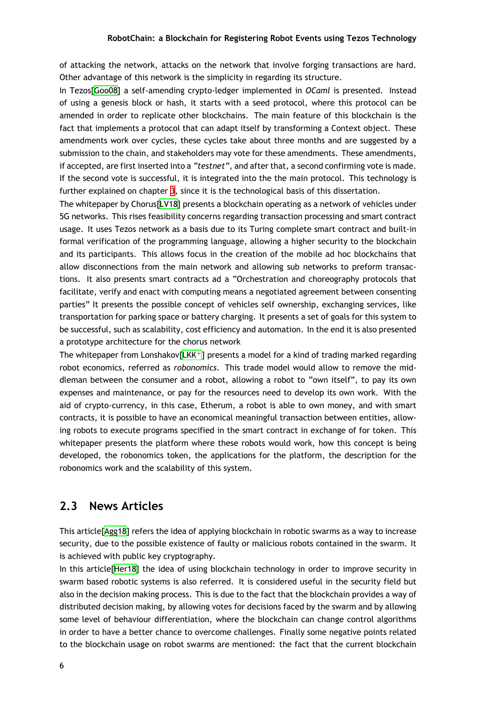of attacking the network, attacks on the network that involve forging transactions are hard. Other advantage of this network is the simplicity in regarding its structure.

<span id="page-19-1"></span>In Tezos[Goo08] a self-amending crypto-ledger implemented in *OCaml* is presented. Instead of using a genesis block or hash, it starts with a seed protocol, where this protocol can be amended in order to replicate other blockchains. The main feature of this blockchain is the fact that [implem](#page-50-1)ents a protocol that can adapt itself by transforming a Context object. These amendments work over cycles, these cycles take about three months and are suggested by a submission to the chain, and stakeholders may vote for these amendments. These amendments, if accepted, are first inserted into a *"testnet"*, and after that, a second confirming vote is made. If the second vote is successful, it is integrated into the the main protocol. This technology is further explained on chapter 3, since it is the technological basis of this dissertation.

The whitepaper by Chorus[LV18] presents a blockchain operating as a network of vehicles under 5G networks. This rises feasibility concerns regarding transaction processing and smart contract usage. It uses Tezos network [a](#page-22-0)s a basis due to its Turing complete smart contract and built-in formal verification of the [progr](#page-51-5)amming language, allowing a higher security to the blockchain and its participants. This allows focus in the creation of the mobile ad hoc blockchains that allow disconnections from the main network and allowing sub networks to preform transactions. It also presents smart contracts ad a "Orchestration and choreography protocols that facilitate, verify and enact with computing means a negotiated agreement between consenting parties" It presents the possible concept of vehicles self ownership, exchanging services, like transportation for parking space or battery charging. It presents a set of goals for this system to be successful, such as scalability, cost efficiency and automation. In the end it is also presented a prototype architecture for the chorus network

The whitepaper from Lonshakov[LKK<sup>+</sup>] presents a model for a kind of trading marked regarding robot economics, referred as *robonomics*. This trade model would allow to remove the middleman between the consumer and a robot, allowing a robot to "own itself", to pay its own expenses and maintenance, or [pay fo](#page-51-1)r the resources need to develop its own work. With the aid of crypto-currency, in this case, Etherum, a robot is able to own money, and with smart contracts, it is possible to have an economical meaningful transaction between entities, allowing robots to execute programs specified in the smart contract in exchange of for token. This whitepaper presents the platform where these robots would work, how this concept is being developed, the robonomics token, the applications for the platform, the description for the robonomics work and the scalability of this system.

#### **2.3 News Articles**

<span id="page-19-0"></span>This article[Agg18] refers the idea of applying blockchain in robotic swarms as a way to increase security, due to the possible existence of faulty or malicious robots contained in the swarm. It is achieved with public key cryptography.

In this artic[le\[Her](#page-50-8)18] the idea of using blockchain technology in order to improve security in swarm based robotic systems is also referred. It is considered useful in the security field but also in the decision making process. This is due to the fact that the blockchain provides a way of distributed de[cision m](#page-50-9)aking, by allowing votes for decisions faced by the swarm and by allowing some level of behaviour differentiation, where the blockchain can change control algorithms in order to have a better chance to overcome challenges. Finally some negative points related to the blockchain usage on robot swarms are mentioned: the fact that the current blockchain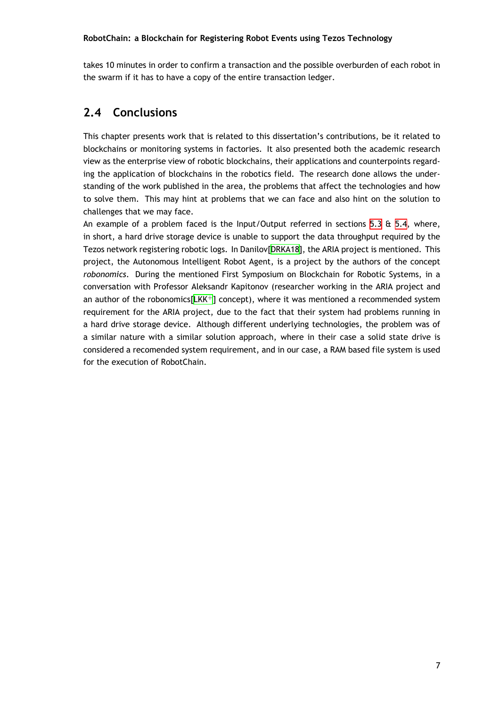<span id="page-20-1"></span>takes 10 minutes in order to confirm a transaction and the possible overburden of each robot in the swarm if it has to have a copy of the entire transaction ledger.

### **2.4 Conclusions**

<span id="page-20-0"></span>This chapter presents work that is related to this dissertation's contributions, be it related to blockchains or monitoring systems in factories. It also presented both the academic research view as the enterprise view of robotic blockchains, their applications and counterpoints regarding the application of blockchains in the robotics field. The research done allows the understanding of the work published in the area, the problems that affect the technologies and how to solve them. This may hint at problems that we can face and also hint on the solution to challenges that we may face.

An example of a problem faced is the Input/Output referred in sections 5.3  $\&$  5.4, where, in short, a hard drive storage device is unable to support the data throughput required by the Tezos network registering robotic logs. In Danilov[DRKA18], the ARIA project is mentioned. This project, the Autonomous Intelligent Robot Agent, is a project by the auth[ors](#page-37-0) of [the](#page-38-0) concept *robonomics*. During the mentioned First Symposium on Blockchain for Robotic Systems, in a conversation with Professor Aleksandr Kapitonov [\(researc](#page-50-4)her working in the ARIA project and an author of the robonomics $[LKK^+]$  concept), where it was mentioned a recommended system requirement for the ARIA project, due to the fact that their system had problems running in a hard drive storage device. Although different underlying technologies, the problem was of a similar nature with a simi[lar so](#page-51-1)lution approach, where in their case a solid state drive is considered a recomended system requirement, and in our case, a RAM based file system is used for the execution of RobotChain.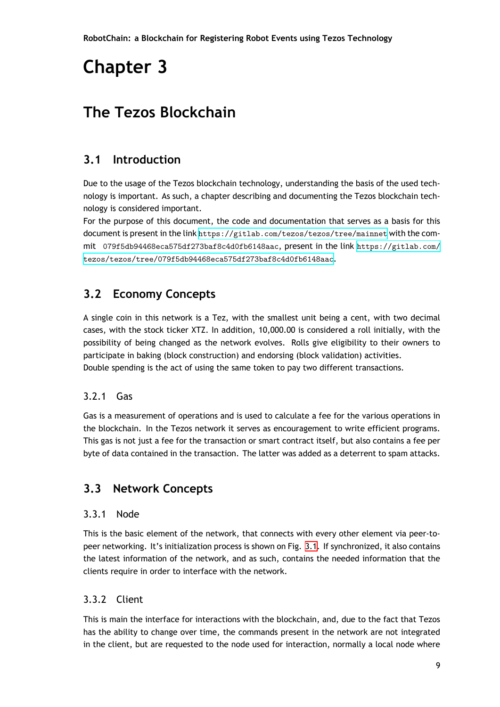# **Chapter 3**

## <span id="page-22-0"></span>**The Tezos Blockchain**

## **3.1 Introduction**

<span id="page-22-1"></span>Due to the usage of the Tezos blockchain technology, understanding the basis of the used technology is important. As such, a chapter describing and documenting the Tezos blockchain technology is considered important.

For the purpose of this document, the code and documentation that serves as a basis for this document is present in the link https://gitlab.com/tezos/tezos/tree/mainnet with the commit 079f5db94468eca575df273baf8c4d0fb6148aac, present in the link https://gitlab.com/ tezos/tezos/tree/079f5db94468eca575df273baf8c4d0fb6148aac.

## **[3.2 Economy Concepts](https://gitlab.com/tezos/tezos/tree/079f5db94468eca575df273baf8c4d0fb6148aac)**

<span id="page-22-2"></span>A single coin in this network is a Tez, with the smallest unit being a cent, with two decimal cases, with the stock ticker XTZ. In addition, 10,000.00 is considered a roll initially, with the possibility of being changed as the network evolves. Rolls give eligibility to their owners to participate in baking (block construction) and endorsing (block validation) activities. Double spending is the act of using the same token to pay two different transactions.

#### 3.2.1 Gas

<span id="page-22-3"></span>Gas is a measurement of operations and is used to calculate a fee for the various operations in the blockchain. In the Tezos network it serves as encouragement to write efficient programs. This gas is not just a fee for the transaction or smart contract itself, but also contains a fee per byte of data contained in the transaction. The latter was added as a deterrent to spam attacks.

## **3.3 Network Concepts**

#### <span id="page-22-4"></span>3.3.1 Node

<span id="page-22-5"></span>This is the basic element of the network, that connects with every other element via peer-topeer networking. It's initialization process is shown on Fig. 3.1. If synchronized, it also contains the latest information of the network, and as such, contains the needed information that the clients require in order to interface with the network.

#### 3.3.2 Client

<span id="page-22-6"></span>This is main the interface for interactions with the blockchain, and, due to the fact that Tezos has the ability to change over time, the commands present in the network are not integrated in the client, but are requested to the node used for interaction, normally a local node where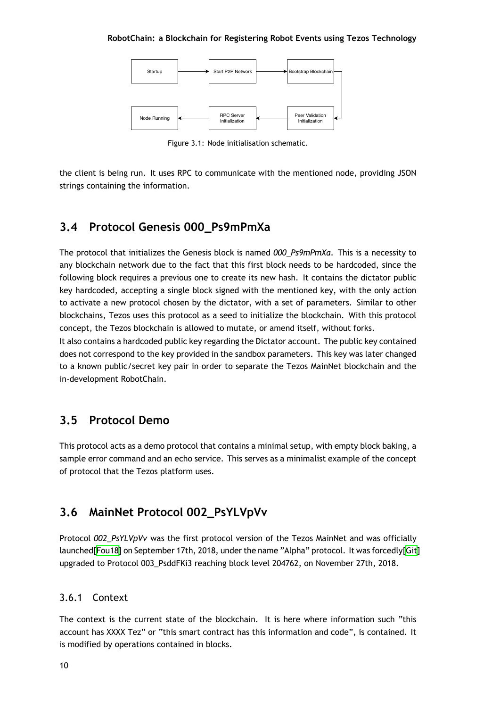<span id="page-23-5"></span>

Figure 3.1: Node initialisation schematic.

<span id="page-23-4"></span>the client is being run. It uses RPC to communicate with the mentioned node, providing JSON strings containing the information.

### **3.4 Protocol Genesis 000\_Ps9mPmXa**

<span id="page-23-0"></span>The protocol that initializes the Genesis block is named *000\_Ps9mPmXa*. This is a necessity to any blockchain network due to the fact that this first block needs to be hardcoded, since the following block requires a previous one to create its new hash. It contains the dictator public key hardcoded, accepting a single block signed with the mentioned key, with the only action to activate a new protocol chosen by the dictator, with a set of parameters. Similar to other blockchains, Tezos uses this protocol as a seed to initialize the blockchain. With this protocol concept, the Tezos blockchain is allowed to mutate, or amend itself, without forks.

It also contains a hardcoded public key regarding the Dictator account. The public key contained does not correspond to the key provided in the sandbox parameters. This key was later changed to a known public/secret key pair in order to separate the Tezos MainNet blockchain and the in-development RobotChain.

### **3.5 Protocol Demo**

<span id="page-23-1"></span>This protocol acts as a demo protocol that contains a minimal setup, with empty block baking, a sample error command and an echo service. This serves as a minimalist example of the concept of protocol that the Tezos platform uses.

### **3.6 MainNet Protocol 002\_PsYLVpVv**

<span id="page-23-2"></span>Protocol *002\_PsYLVpVv* was the first protocol version of the Tezos MainNet and was officially launched[Fou18] on September 17th, 2018, under the name "Alpha" protocol. It was forcedly[Git] upgraded to Protocol 003\_PsddFKi3 reaching block level 204762, on November 27th, 2018.

#### 3.6.1 [Conte](#page-50-10)xt

<span id="page-23-3"></span>The context is the current state of the blockchain. It is here where information such "this account has XXXX Tez" or "this smart contract has this information and code", is contained. It is modified by operations contained in blocks.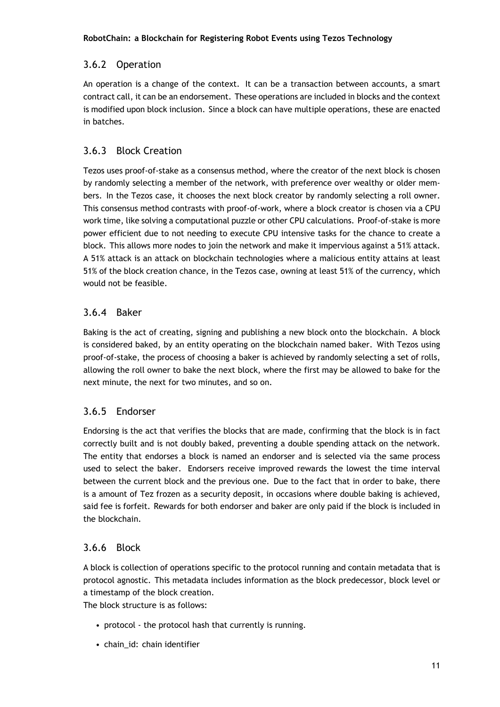#### <span id="page-24-0"></span>3.6.2 Operation

An operation is a change of the context. It can be a transaction between accounts, a smart contract call, it can be an endorsement. These operations are included in blocks and the context is modified upon block inclusion. Since a block can have multiple operations, these are enacted in batches.

#### <span id="page-24-1"></span>3.6.3 Block Creation

Tezos uses proof-of-stake as a consensus method, where the creator of the next block is chosen by randomly selecting a member of the network, with preference over wealthy or older members. In the Tezos case, it chooses the next block creator by randomly selecting a roll owner. This consensus method contrasts with proof-of-work, where a block creator is chosen via a CPU work time, like solving a computational puzzle or other CPU calculations. Proof-of-stake is more power efficient due to not needing to execute CPU intensive tasks for the chance to create a block. This allows more nodes to join the network and make it impervious against a 51% attack. A 51% attack is an attack on blockchain technologies where a malicious entity attains at least 51% of the block creation chance, in the Tezos case, owning at least 51% of the currency, which would not be feasible.

#### <span id="page-24-2"></span>3.6.4 Baker

Baking is the act of creating, signing and publishing a new block onto the blockchain. A block is considered baked, by an entity operating on the blockchain named baker. With Tezos using proof-of-stake, the process of choosing a baker is achieved by randomly selecting a set of rolls, allowing the roll owner to bake the next block, where the first may be allowed to bake for the next minute, the next for two minutes, and so on.

#### <span id="page-24-3"></span>3.6.5 Endorser

Endorsing is the act that verifies the blocks that are made, confirming that the block is in fact correctly built and is not doubly baked, preventing a double spending attack on the network. The entity that endorses a block is named an endorser and is selected via the same process used to select the baker. Endorsers receive improved rewards the lowest the time interval between the current block and the previous one. Due to the fact that in order to bake, there is a amount of Tez frozen as a security deposit, in occasions where double baking is achieved, said fee is forfeit. Rewards for both endorser and baker are only paid if the block is included in the blockchain.

#### <span id="page-24-4"></span>3.6.6 Block

A block is collection of operations specific to the protocol running and contain metadata that is protocol agnostic. This metadata includes information as the block predecessor, block level or a timestamp of the block creation.

The block structure is as follows:

- protocol the protocol hash that currently is running.
- chain\_id: chain identifier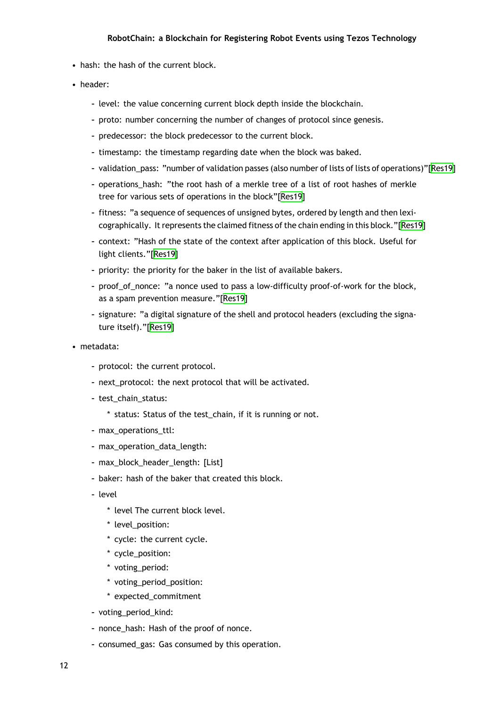- hash: the hash of the current block.
- header:
	- **–** level: the value concerning current block depth inside the blockchain.
	- **–** proto: number concerning the number of changes of protocol since genesis.
	- **–** predecessor: the block predecessor to the current block.
	- **–** timestamp: the timestamp regarding date when the block was baked.
	- **–** validation\_pass: "number of validation passes (also number of lists of lists of operations)"[Res19]
	- **–** operations\_hash: "the root hash of a merkle tree of a list of root hashes of merkle tree for various sets of operations in the block"[Res19]
	- **–** fitness: "a sequence of sequences of unsigned bytes, ordered by length and then lexicographically. It represents the claimed fitness of the chain ending in this block."[Res19]
	- **–** context: "Hash of the state of the context after [applic](#page-51-6)ation of this block. Useful for light clients."[Res19]
	- **–** priority: the priority for the baker in the list of available bakers.
	- **–** proof\_of\_nonce: "a nonce used to pass a low-difficulty proof-of-work for the block, as a spam pre[vention](#page-51-6) measure."[Res19]
	- **–** signature: "a digital signature of the shell and protocol headers (excluding the signature itself)."[Res19]
- metadata:
	- **–** protocol: the [curren](#page-51-6)t protocol.
	- **–** next\_protocol: the next protocol that will be activated.
	- **–** test\_chain\_status:
		- \* status: Status of the test\_chain, if it is running or not.
	- **–** max\_operations\_ttl:
	- **–** max\_operation\_data\_length:
	- **–** max\_block\_header\_length: [List]
	- **–** baker: hash of the baker that created this block.
	- **–** level
		- \* level The current block level.
		- \* level\_position:
		- \* cycle: the current cycle.
		- \* cycle\_position:
		- \* voting\_period:
		- \* voting\_period\_position:
		- \* expected\_commitment
	- **–** voting\_period\_kind:
	- **–** nonce\_hash: Hash of the proof of nonce.
	- **–** consumed\_gas: Gas consumed by this operation.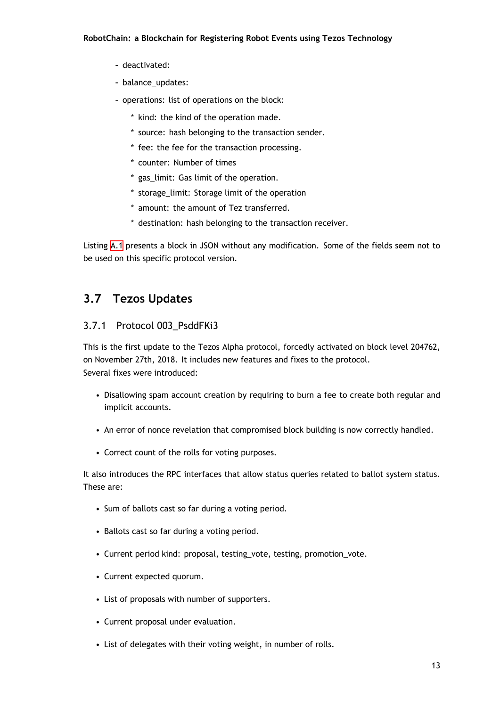- **–** deactivated:
- **–** balance\_updates:
- **–** operations: list of operations on the block:
	- \* kind: the kind of the operation made.
	- \* source: hash belonging to the transaction sender.
	- \* fee: the fee for the transaction processing.
	- \* counter: Number of times
	- \* gas\_limit: Gas limit of the operation.
	- \* storage\_limit: Storage limit of the operation
	- \* amount: the amount of Tez transferred.
	- \* destination: hash belonging to the transaction receiver.

Listing A.1 presents a block in JSON without any modification. Some of the fields seem not to be used on this specific protocol version.

### **3.7 Tezos Updates**

#### <span id="page-26-0"></span>3.7.1 Protocol 003\_PsddFKi3

<span id="page-26-1"></span>This is the first update to the Tezos Alpha protocol, forcedly activated on block level 204762, on November 27th, 2018. It includes new features and fixes to the protocol. Several fixes were introduced:

- Disallowing spam account creation by requiring to burn a fee to create both regular and implicit accounts.
- An error of nonce revelation that compromised block building is now correctly handled.
- Correct count of the rolls for voting purposes.

It also introduces the RPC interfaces that allow status queries related to ballot system status. These are:

- Sum of ballots cast so far during a voting period.
- Ballots cast so far during a voting period.
- Current period kind: proposal, testing\_vote, testing, promotion\_vote.
- Current expected quorum.
- List of proposals with number of supporters.
- Current proposal under evaluation.
- List of delegates with their voting weight, in number of rolls.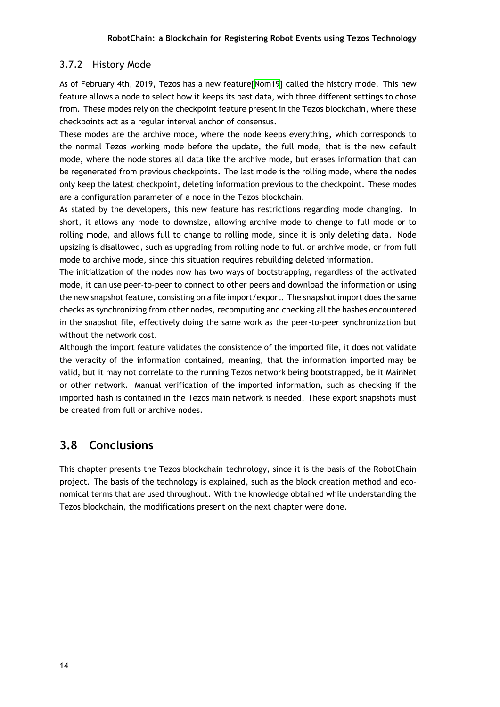#### 3.7.2 History Mode

<span id="page-27-0"></span>As of February 4th, 2019, Tezos has a new feature[Nom19] called the history mode. This new feature allows a node to select how it keeps its past data, with three different settings to chose from. These modes rely on the checkpoint feature present in the Tezos blockchain, where these checkpoints act as a regular interval anchor of cons[ensus.](#page-51-7)

These modes are the archive mode, where the node keeps everything, which corresponds to the normal Tezos working mode before the update, the full mode, that is the new default mode, where the node stores all data like the archive mode, but erases information that can be regenerated from previous checkpoints. The last mode is the rolling mode, where the nodes only keep the latest checkpoint, deleting information previous to the checkpoint. These modes are a configuration parameter of a node in the Tezos blockchain.

As stated by the developers, this new feature has restrictions regarding mode changing. In short, it allows any mode to downsize, allowing archive mode to change to full mode or to rolling mode, and allows full to change to rolling mode, since it is only deleting data. Node upsizing is disallowed, such as upgrading from rolling node to full or archive mode, or from full mode to archive mode, since this situation requires rebuilding deleted information.

The initialization of the nodes now has two ways of bootstrapping, regardless of the activated mode, it can use peer-to-peer to connect to other peers and download the information or using the new snapshot feature, consisting on a file import/export. The snapshot import does the same checks as synchronizing from other nodes, recomputing and checking all the hashes encountered in the snapshot file, effectively doing the same work as the peer-to-peer synchronization but without the network cost.

Although the import feature validates the consistence of the imported file, it does not validate the veracity of the information contained, meaning, that the information imported may be valid, but it may not correlate to the running Tezos network being bootstrapped, be it MainNet or other network. Manual verification of the imported information, such as checking if the imported hash is contained in the Tezos main network is needed. These export snapshots must be created from full or archive nodes.

### **3.8 Conclusions**

<span id="page-27-1"></span>This chapter presents the Tezos blockchain technology, since it is the basis of the RobotChain project. The basis of the technology is explained, such as the block creation method and economical terms that are used throughout. With the knowledge obtained while understanding the Tezos blockchain, the modifications present on the next chapter were done.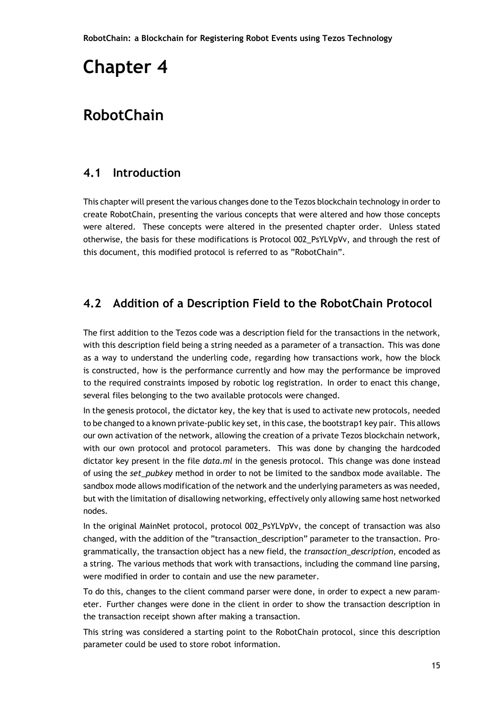# <span id="page-28-0"></span>**Chapter 4**

## **RobotChain**

### <span id="page-28-1"></span>**4.1 Introduction**

This chapter will present the various changes done to the Tezos blockchain technology in order to create RobotChain, presenting the various concepts that were altered and how those concepts were altered. These concepts were altered in the presented chapter order. Unless stated otherwise, the basis for these modifications is Protocol 002\_PsYLVpVv, and through the rest of this document, this modified protocol is referred to as "RobotChain".

#### <span id="page-28-2"></span>**4.2 Addition of a Description Field to the RobotChain Protocol**

The first addition to the Tezos code was a description field for the transactions in the network, with this description field being a string needed as a parameter of a transaction. This was done as a way to understand the underling code, regarding how transactions work, how the block is constructed, how is the performance currently and how may the performance be improved to the required constraints imposed by robotic log registration. In order to enact this change, several files belonging to the two available protocols were changed.

In the genesis protocol, the dictator key, the key that is used to activate new protocols, needed to be changed to a known private-public key set, in this case, the bootstrap1 key pair. This allows our own activation of the network, allowing the creation of a private Tezos blockchain network, with our own protocol and protocol parameters. This was done by changing the hardcoded dictator key present in the file *data.ml* in the genesis protocol. This change was done instead of using the *set\_pubkey* method in order to not be limited to the sandbox mode available. The sandbox mode allows modification of the network and the underlying parameters as was needed, but with the limitation of disallowing networking, effectively only allowing same host networked nodes.

In the original MainNet protocol, protocol 002\_PsYLVpVv, the concept of transaction was also changed, with the addition of the "transaction\_description" parameter to the transaction. Programmatically, the transaction object has a new field, the *transaction\_description*, encoded as a string. The various methods that work with transactions, including the command line parsing, were modified in order to contain and use the new parameter.

To do this, changes to the client command parser were done, in order to expect a new parameter. Further changes were done in the client in order to show the transaction description in the transaction receipt shown after making a transaction.

This string was considered a starting point to the RobotChain protocol, since this description parameter could be used to store robot information.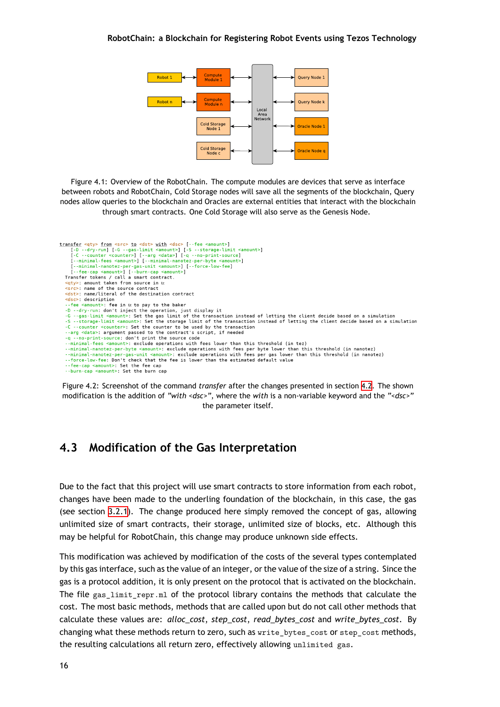

<span id="page-29-1"></span>Figure 4.1: Overview of the RobotChain. The compute modules are devices that serve as interface between robots and RobotChain, Cold Storage nodes will save all the segments of the blockchain, Query nodes allow queries to the blockchain and Oracles are external entities that interact with the blockchain through smart contracts. One Cold Storage will also serve as the Genesis Node.

```
transfer <qty> from <src> to <dst> with <dsc> [--fee <amount>]<br>
[-D --dry-run] [-G --gas-limit <amount>] [-S --storage-limit <amount>]<br>
[-C --counter <counter>] [--arg <data>] [-q --no-print-source]<br>
[--minimal-fees <amoun
      [--fee-cap <amount>] [--burn-cap <amount>]
   Transfer tokens / call a smart contract.
   <<mark>qty>: amount taken from source in tz</mark><br><src>: name of the source contract
   <dst>: name/literal of the destination contract
   <dsc>: description
   --fee <amount>: fee in tz to pay to the baker
    -D --dry-run: don't inject the operation, just display it
   -G --gas-limit <amount>: Set the gas limit of the transaction instead of letting the client decide based on a simulation<br>-S --storage-limit <amount>: Set the storage limit of the transaction instead of letting the client d
   -C --counter <counter>: Set the counter to be used by the transaction<br>--arg <data>: argument passed to the contract's script, if needed
   -a --no-print-source: don't print the source code
     minimal-fees <amount>: exclude operations with fees lower than this threshold (in tez)
   --minimal-nanotez-per-byte <amount>: exclude operations with fees per byte lower than this threshold (in nanotez)
   --minimal-nanotez-per-gas-unit <amount>: exclude operations with fees per gas lower than this threshold (in nanotez)
   -force-low-fee: Don't check that the fee is lower than the estimated default value
    --fee-cap <amount>: Set the fee cap
   --burn-cap <amount>. Set the burn cap
```
Figure 4.2: Screenshot of the command *transfer* after the changes presented in section 4.2. The shown modification is the addition of *"with <dsc>"*, where the *with* is a non-variable keyword and the *"<dsc>"* the parameter itself.

#### **4.3 Modification of the Gas Interpretation**

<span id="page-29-0"></span>Due to the fact that this project will use smart contracts to store information from each robot, changes have been made to the underling foundation of the blockchain, in this case, the gas (see section 3.2.1). The change produced here simply removed the concept of gas, allowing unlimited size of smart contracts, their storage, unlimited size of blocks, etc. Although this may be helpful for RobotChain, this change may produce unknown side effects.

This modific[ation w](#page-22-3)as achieved by modification of the costs of the several types contemplated by this gas interface, such as the value of an integer, or the value of the size of a string. Since the gas is a protocol addition, it is only present on the protocol that is activated on the blockchain. The file gas\_limit\_repr.ml of the protocol library contains the methods that calculate the cost. The most basic methods, methods that are called upon but do not call other methods that calculate these values are: *alloc\_cost*, *step\_cost*, *read\_bytes\_cost* and *write\_bytes\_cost*. By changing what these methods return to zero, such as write\_bytes\_cost or step\_cost methods, the resulting calculations all return zero, effectively allowing unlimited gas.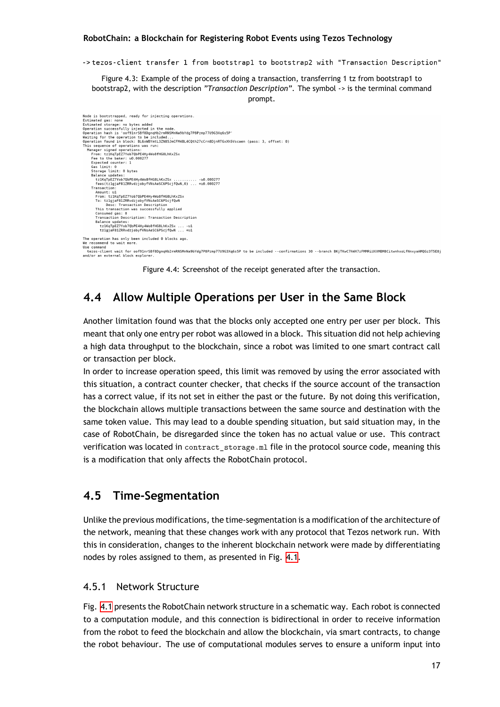->tezos-client transfer 1 from bootstrap1 to bootstrap2 with "Transaction Description"

Figure 4.3: Example of the process of doing a transaction, transferring 1 tz from bootstrap1 to bootstrap2, with the description *"Transaction Description"*. The symbol *->* is the terminal command prompt.

<span id="page-30-4"></span><span id="page-30-3"></span>Node is bootstrapped, ready for injecting operations. Node is bootstrapped, ready for injecting operations.<br>
Estimated gas: none<br>
Estimated storage: no bytes added<br>
Depration successfully injected in the node.<br>
Operation hash is 'oof91nrSBfBDgnqHb2rmRN5MnNa9bYdg7P8Pzmp77U9G3X tz1KqTpEZ7Yob70bPE4Hy4Wo8fHG8LhKxZSx From: tz1KqTpEZ7Yob7QbPE4Hy4Wo8fHG8LhKxZ<br>To: tz1gjaF81ZRRvdzjobyfVNsAeSC6PScjfQwN Desc: Transaction Description This transaction was successfully applied The Characterian and Successiuty applied<br>Consumed gas: 0<br>Balance updates: intion: Transaction Description<br>Balance updates: intion: Transaction Description<br> $\texttt{t2lqj4F2Tv6Df}$ <br> $\texttt{t2lqj4F2Tv6Df}$ The operation has only been included 0 blocks ago. end to wait more Use command use cummanu<br>tezos-client wait for oof91nrSBf8DgnqHb2rmRNSMnNa9bYdg7P8Pzmp77U9G3Xq6s5P to be included --confirmations 30 --branch BKjTKwC7hWX7zFMMRiUXXMBM8CitwnhxoLfNnxyaAMQGz3T5E8j<br>and/or an external block explorer.

Figure 4.4: Screenshot of the receipt generated after the transaction.

### **4.4 Allow Multiple Operations per User in the Same Block**

<span id="page-30-0"></span>Another limitation found was that the blocks only accepted one entry per user per block. This meant that only one entry per robot was allowed in a block. This situation did not help achieving a high data throughput to the blockchain, since a robot was limited to one smart contract call or transaction per block.

In order to increase operation speed, this limit was removed by using the error associated with this situation, a contract counter checker, that checks if the source account of the transaction has a correct value, if its not set in either the past or the future. By not doing this verification, the blockchain allows multiple transactions between the same source and destination with the same token value. This may lead to a double spending situation, but said situation may, in the case of RobotChain, be disregarded since the token has no actual value or use. This contract verification was located in contract storage.ml file in the protocol source code, meaning this is a modification that only affects the RobotChain protocol.

### **4.5 Time-Segmentation**

<span id="page-30-1"></span>Unlike the previous modifications, the time-segmentation is a modification of the architecture of the network, meaning that these changes work with any protocol that Tezos network run. With this in consideration, changes to the inherent blockchain network were made by differentiating nodes by roles assigned to them, as presented in Fig. 4.1.

#### 4.5.1 Network Structure

<span id="page-30-2"></span>Fig. 4.1 presents the RobotChain network structure in [a sc](#page-29-1)hematic way. Each robot is connected to a computation module, and this connection is bidirectional in order to receive information from the robot to feed the blockchain and allow the blockchain, via smart contracts, to change the [robo](#page-29-1)t behaviour. The use of computational modules serves to ensure a uniform input into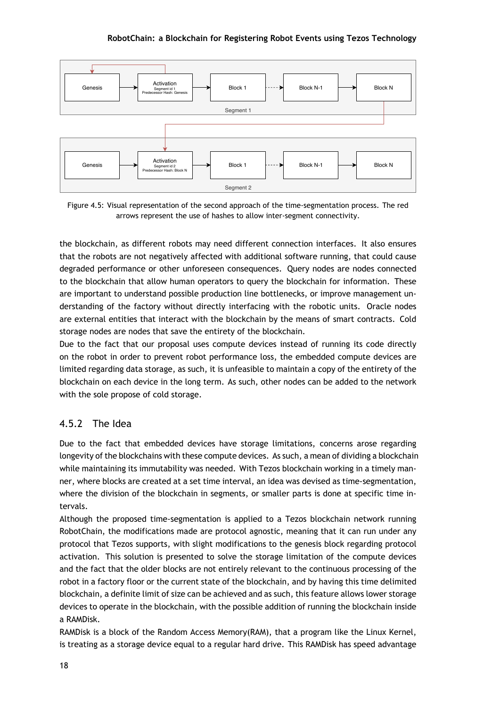<span id="page-31-0"></span>

Figure 4.5: Visual representation of the second approach of the time-segmentation process. The red arrows represent the use of hashes to allow inter-segment connectivity.

the blockchain, as different robots may need different connection interfaces. It also ensures that the robots are not negatively affected with additional software running, that could cause degraded performance or other unforeseen consequences. Query nodes are nodes connected to the blockchain that allow human operators to query the blockchain for information. These are important to understand possible production line bottlenecks, or improve management understanding of the factory without directly interfacing with the robotic units. Oracle nodes are external entities that interact with the blockchain by the means of smart contracts. Cold storage nodes are nodes that save the entirety of the blockchain.

Due to the fact that our proposal uses compute devices instead of running its code directly on the robot in order to prevent robot performance loss, the embedded compute devices are limited regarding data storage, as such, it is unfeasible to maintain a copy of the entirety of the blockchain on each device in the long term. As such, other nodes can be added to the network with the sole propose of cold storage.

#### 4.5.2 The Idea

Due to the fact that embedded devices have storage limitations, concerns arose regarding longevity of the blockchains with these compute devices. As such, a mean of dividing a blockchain while maintaining its immutability was needed. With Tezos blockchain working in a timely manner, where blocks are created at a set time interval, an idea was devised as time-segmentation, where the division of the blockchain in segments, or smaller parts is done at specific time intervals.

Although the proposed time-segmentation is applied to a Tezos blockchain network running RobotChain, the modifications made are protocol agnostic, meaning that it can run under any protocol that Tezos supports, with slight modifications to the genesis block regarding protocol activation. This solution is presented to solve the storage limitation of the compute devices and the fact that the older blocks are not entirely relevant to the continuous processing of the robot in a factory floor or the current state of the blockchain, and by having this time delimited blockchain, a definite limit of size can be achieved and as such, this feature allows lower storage devices to operate in the blockchain, with the possible addition of running the blockchain inside a RAMDisk.

RAMDisk is a block of the Random Access Memory(RAM), that a program like the Linux Kernel, is treating as a storage device equal to a regular hard drive. This RAMDisk has speed advantage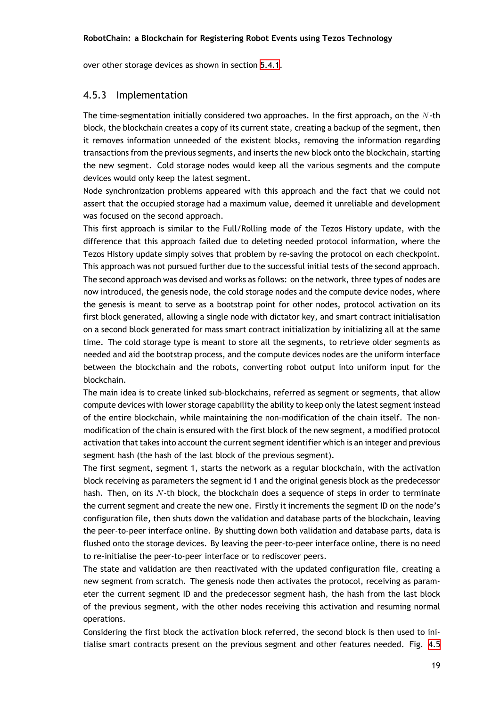over other storage devices as shown in section 5.4.1.

#### 4.5.3 Implementation

<span id="page-32-0"></span>The time-segmentation initially considered two approaches. In the first approach, on the *N*-th block, the blockchain creates a copy of its current state, creating a backup of the segment, then it removes information unneeded of the existent blocks, removing the information regarding transactions from the previous segments, and inserts the new block onto the blockchain, starting the new segment. Cold storage nodes would keep all the various segments and the compute devices would only keep the latest segment.

Node synchronization problems appeared with this approach and the fact that we could not assert that the occupied storage had a maximum value, deemed it unreliable and development was focused on the second approach.

This first approach is similar to the Full/Rolling mode of the Tezos History update, with the difference that this approach failed due to deleting needed protocol information, where the Tezos History update simply solves that problem by re-saving the protocol on each checkpoint. This approach was not pursued further due to the successful initial tests of the second approach. The second approach was devised and works as follows: on the network, three types of nodes are now introduced, the genesis node, the cold storage nodes and the compute device nodes, where the genesis is meant to serve as a bootstrap point for other nodes, protocol activation on its first block generated, allowing a single node with dictator key, and smart contract initialisation on a second block generated for mass smart contract initialization by initializing all at the same time. The cold storage type is meant to store all the segments, to retrieve older segments as needed and aid the bootstrap process, and the compute devices nodes are the uniform interface between the blockchain and the robots, converting robot output into uniform input for the blockchain.

The main idea is to create linked sub-blockchains, referred as segment or segments, that allow compute devices with lower storage capability the ability to keep only the latest segment instead of the entire blockchain, while maintaining the non-modification of the chain itself. The nonmodification of the chain is ensured with the first block of the new segment, a modified protocol activation that takes into account the current segment identifier which is an integer and previous segment hash (the hash of the last block of the previous segment).

The first segment, segment 1, starts the network as a regular blockchain, with the activation block receiving as parameters the segment id 1 and the original genesis block as the predecessor hash. Then, on its *N*-th block, the blockchain does a sequence of steps in order to terminate the current segment and create the new one. Firstly it increments the segment ID on the node's configuration file, then shuts down the validation and database parts of the blockchain, leaving the peer-to-peer interface online. By shutting down both validation and database parts, data is flushed onto the storage devices. By leaving the peer-to-peer interface online, there is no need to re-initialise the peer-to-peer interface or to rediscover peers.

The state and validation are then reactivated with the updated configuration file, creating a new segment from scratch. The genesis node then activates the protocol, receiving as parameter the current segment ID and the predecessor segment hash, the hash from the last block of the previous segment, with the other nodes receiving this activation and resuming normal operations.

Considering the first block the activation block referred, the second block is then used to initialise smart contracts present on the previous segment and other features needed. Fig. 4.5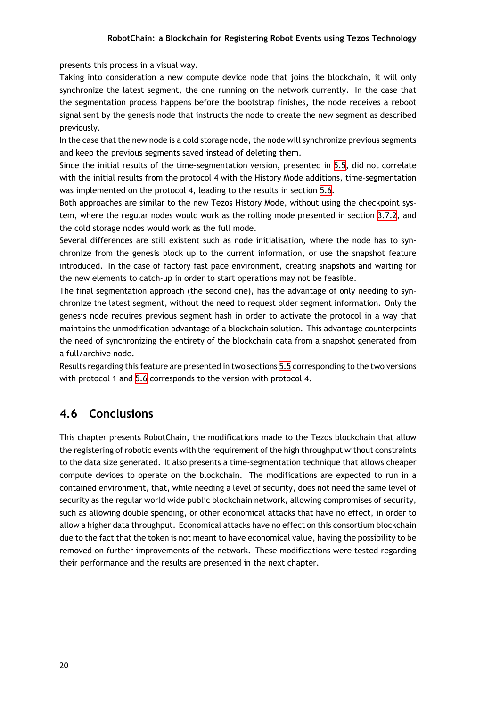presents this process in a visual way.

Taking into consideration a new compute device node that joins the blockchain, it will only synchronize the latest segment, the one running on the network currently. In the case that the segmentation process happens before the bootstrap finishes, the node receives a reboot signal sent by the genesis node that instructs the node to create the new segment as described previously.

In the case that the new node is a cold storage node, the node will synchronize previous segments and keep the previous segments saved instead of deleting them.

Since the initial results of the time-segmentation version, presented in 5.5, did not correlate with the initial results from the protocol 4 with the History Mode additions, time-segmentation was implemented on the protocol 4, leading to the results in section 5.6.

Both approaches are similar to the new Tezos History Mode, without usi[ng t](#page-42-1)he checkpoint system, where the regular nodes would work as the rolling mode presented in section 3.7.2, and the cold storage nodes would work as the full mode.

Several differences are still existent such as node initialisation, w[here](#page-43-0) the node has to synchronize from the genesis block up to the current information, or use the snapsh[ot fea](#page-27-0)ture introduced. In the case of factory fast pace environment, creating snapshots and waiting for the new elements to catch-up in order to start operations may not be feasible.

The final segmentation approach (the second one), has the advantage of only needing to synchronize the latest segment, without the need to request older segment information. Only the genesis node requires previous segment hash in order to activate the protocol in a way that maintains the unmodification advantage of a blockchain solution. This advantage counterpoints the need of synchronizing the entirety of the blockchain data from a snapshot generated from a full/archive node.

Results regarding this feature are presented in two sections 5.5 corresponding to the two versions with protocol 1 and 5.6 corresponds to the version with protocol 4.

#### **4.6 Conclusi[on](#page-43-0)s**

This chapter presents RobotChain, the modifications made to the Tezos blockchain that allow the registering of robotic events with the requirement of the high throughput without constraints to the data size generated. It also presents a time-segmentation technique that allows cheaper compute devices to operate on the blockchain. The modifications are expected to run in a contained environment, that, while needing a level of security, does not need the same level of security as the regular world wide public blockchain network, allowing compromises of security, such as allowing double spending, or other economical attacks that have no effect, in order to allow a higher data throughput. Economical attacks have no effect on this consortium blockchain due to the fact that the token is not meant to have economical value, having the possibility to be removed on further improvements of the network. These modifications were tested regarding their performance and the results are presented in the next chapter.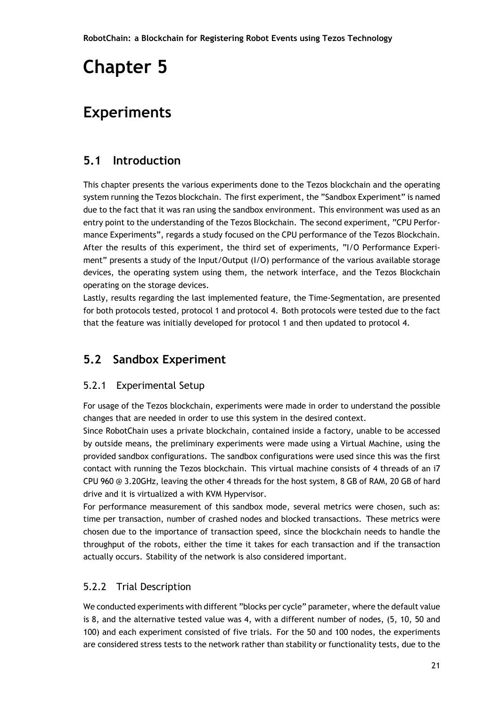# <span id="page-34-0"></span>**Chapter 5**

## **Experiments**

### <span id="page-34-1"></span>**5.1 Introduction**

This chapter presents the various experiments done to the Tezos blockchain and the operating system running the Tezos blockchain. The first experiment, the "Sandbox Experiment" is named due to the fact that it was ran using the sandbox environment. This environment was used as an entry point to the understanding of the Tezos Blockchain. The second experiment, "CPU Performance Experiments", regards a study focused on the CPU performance of the Tezos Blockchain. After the results of this experiment, the third set of experiments, "I/O Performance Experiment" presents a study of the Input/Output (I/O) performance of the various available storage devices, the operating system using them, the network interface, and the Tezos Blockchain operating on the storage devices.

Lastly, results regarding the last implemented feature, the Time-Segmentation, are presented for both protocols tested, protocol 1 and protocol 4. Both protocols were tested due to the fact that the feature was initially developed for protocol 1 and then updated to protocol 4.

## <span id="page-34-2"></span>**5.2 Sandbox Experiment**

#### <span id="page-34-3"></span>5.2.1 Experimental Setup

For usage of the Tezos blockchain, experiments were made in order to understand the possible changes that are needed in order to use this system in the desired context.

Since RobotChain uses a private blockchain, contained inside a factory, unable to be accessed by outside means, the preliminary experiments were made using a Virtual Machine, using the provided sandbox configurations. The sandbox configurations were used since this was the first contact with running the Tezos blockchain. This virtual machine consists of 4 threads of an i7 CPU 960 @ 3.20GHz, leaving the other 4 threads for the host system, 8 GB of RAM, 20 GB of hard drive and it is virtualized a with KVM Hypervisor.

For performance measurement of this sandbox mode, several metrics were chosen, such as: time per transaction, number of crashed nodes and blocked transactions. These metrics were chosen due to the importance of transaction speed, since the blockchain needs to handle the throughput of the robots, either the time it takes for each transaction and if the transaction actually occurs. Stability of the network is also considered important.

#### <span id="page-34-4"></span>5.2.2 Trial Description

We conducted experiments with different "blocks per cycle" parameter, where the default value is 8, and the alternative tested value was 4, with a different number of nodes, (5, 10, 50 and 100) and each experiment consisted of five trials. For the 50 and 100 nodes, the experiments are considered stress tests to the network rather than stability or functionality tests, due to the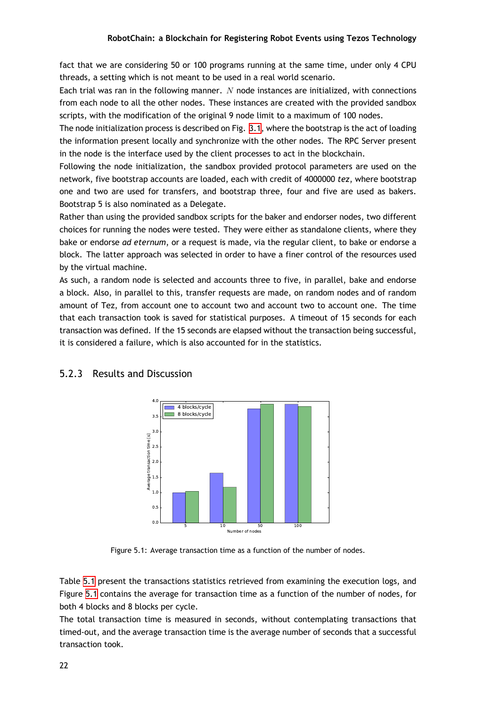fact that we are considering 50 or 100 programs running at the same time, under only 4 CPU threads, a setting which is not meant to be used in a real world scenario.

Each trial was ran in the following manner. *N* node instances are initialized, with connections from each node to all the other nodes. These instances are created with the provided sandbox scripts, with the modification of the original 9 node limit to a maximum of 100 nodes.

The node initialization process is described on Fig. 3.1, where the bootstrap is the act of loading the information present locally and synchronize with the other nodes. The RPC Server present in the node is the interface used by the client processes to act in the blockchain.

Following the node initialization, the sandbox pr[ovid](#page-23-4)ed protocol parameters are used on the network, five bootstrap accounts are loaded, each with credit of 4000000 *tez*, where bootstrap one and two are used for transfers, and bootstrap three, four and five are used as bakers. Bootstrap 5 is also nominated as a Delegate.

Rather than using the provided sandbox scripts for the baker and endorser nodes, two different choices for running the nodes were tested. They were either as standalone clients, where they bake or endorse *ad eternum*, or a request is made, via the regular client, to bake or endorse a block. The latter approach was selected in order to have a finer control of the resources used by the virtual machine.

As such, a random node is selected and accounts three to five, in parallel, bake and endorse a block. Also, in parallel to this, transfer requests are made, on random nodes and of random amount of Tez, from account one to account two and account two to account one. The time that each transaction took is saved for statistical purposes. A timeout of 15 seconds for each transaction was defined. If the 15 seconds are elapsed without the transaction being successful, it is considered a failure, which is also accounted for in the statistics.



#### <span id="page-35-1"></span><span id="page-35-0"></span>5.2.3 Results and Discussion

Figure 5.1: Average transaction time as a function of the number of nodes.

Table 5.1 present the transactions statistics retrieved from examining the execution logs, and Figure 5.1 contains the average for transaction time as a function of the number of nodes, for both 4 blocks and 8 blocks per cycle.

The t[otal](#page-36-0) transaction time is measured in seconds, without contemplating transactions that timed-[out,](#page-35-1) and the average transaction time is the average number of seconds that a successful transaction took.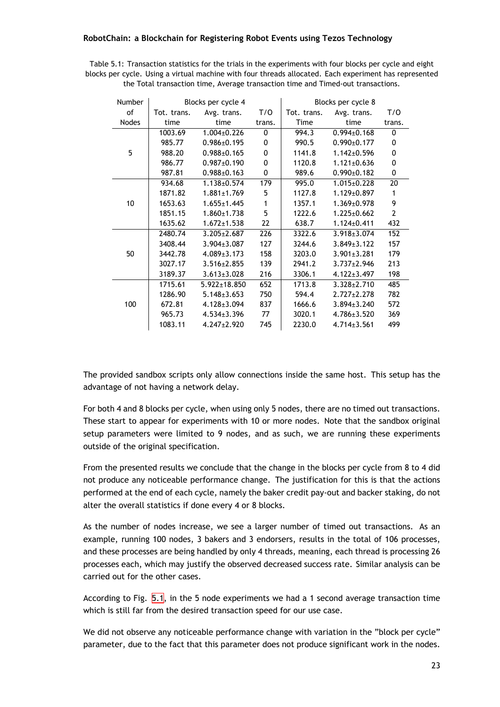| Table 5.1: Transaction statistics for the trials in the experiments with four blocks per cycle and eight |
|----------------------------------------------------------------------------------------------------------|
| blocks per cycle. Using a virtual machine with four threads allocated. Each experiment has represented   |
| the Total transaction time, Average transaction time and Timed-out transactions.                         |

<span id="page-36-0"></span>

| Number       | Blocks per cycle 4 |                    |              | Blocks per cycle 8 |                   |        |  |  |
|--------------|--------------------|--------------------|--------------|--------------------|-------------------|--------|--|--|
| of           | Tot. trans.        | Avg. trans.        | T/O          | Tot. trans.        | Avg. trans.       | T/O    |  |  |
| <b>Nodes</b> | time               | time               | trans.       | Time               | time              | trans. |  |  |
|              | 1003.69            | $1.004\pm0.226$    | 0            | 994.3              | $0.994 \pm 0.168$ | 0      |  |  |
|              | 985.77             | $0.986 \pm 0.195$  | 0            | 990.5              | $0.990 \pm 0.177$ | 0      |  |  |
| 5            | 988.20             | $0.988 \pm 0.165$  | 0            | 1141.8             | $1.142 \pm 0.596$ | 0      |  |  |
|              | 986.77             | $0.987 \pm 0.190$  | $\mathbf{0}$ | 1120.8             | $1.121 \pm 0.636$ | 0      |  |  |
|              | 987.81             | $0.988 \pm 0.163$  | 0            | 989.6              | $0.990 \pm 0.182$ | 0      |  |  |
|              | 934.68             | $1.138 \pm 0.574$  | 179          | 995.0              | $1.015 \pm 0.228$ | 20     |  |  |
|              | 1871.82            | $1.881 \pm 1.769$  | 5            | 1127.8             | $1.129 \pm 0.897$ | 1      |  |  |
| 10           | 1653.63            | $1.655 \pm 1.445$  | 1            | 1357.1             | $1.369 \pm 0.978$ | 9      |  |  |
|              | 1851.15            | $1.860 \pm 1.738$  | 5            | 1222.6             | $1.225 \pm 0.662$ | 2      |  |  |
|              | 1635.62            | $1.672 \pm 1.538$  | 22           | 638.7              | $1.124 \pm 0.411$ | 432    |  |  |
|              | 2480.74            | $3.205 \pm 2.687$  | 226          | 3322.6             | $3.918 \pm 3.074$ | 152    |  |  |
|              | 3408.44            | $3.904 \pm 3.087$  | 127          | 3244.6             | $3.849 \pm 3.122$ | 157    |  |  |
| 50           | 3442.78            | $4.089 \pm 3.173$  | 158          | 3203.0             | $3.901 \pm 3.281$ | 179    |  |  |
|              | 3027.17            | $3.516 \pm 2.855$  | 139          | 2941.2             | $3.737 \pm 2.946$ | 213    |  |  |
|              | 3189.37            | $3.613 \pm 3.028$  | 216          | 3306.1             | $4.122 \pm 3.497$ | 198    |  |  |
|              | 1715.61            | $5.922 \pm 18.850$ | 652          | 1713.8             | $3.328 \pm 2.710$ | 485    |  |  |
|              | 1286.90            | $5.148 \pm 3.653$  | 750          | 594.4              | $2.727 \pm 2.278$ | 782    |  |  |
| 100          | 672.81             | $4.128 \pm 3.094$  | 837          | 1666.6             | $3.894 \pm 3.240$ | 572    |  |  |
|              | 965.73             | $4.534\pm3.396$    | 77           | 3020.1             | $4.786 \pm 3.520$ | 369    |  |  |
|              | 1083.11            | $4.247 \pm 2.920$  | 745          | 2230.0             | $4.714 \pm 3.561$ | 499    |  |  |

The provided sandbox scripts only allow connections inside the same host. This setup has the advantage of not having a network delay.

For both 4 and 8 blocks per cycle, when using only 5 nodes, there are no timed out transactions. These start to appear for experiments with 10 or more nodes. Note that the sandbox original setup parameters were limited to 9 nodes, and as such, we are running these experiments outside of the original specification.

From the presented results we conclude that the change in the blocks per cycle from 8 to 4 did not produce any noticeable performance change. The justification for this is that the actions performed at the end of each cycle, namely the baker credit pay-out and backer staking, do not alter the overall statistics if done every 4 or 8 blocks.

As the number of nodes increase, we see a larger number of timed out transactions. As an example, running 100 nodes, 3 bakers and 3 endorsers, results in the total of 106 processes, and these processes are being handled by only 4 threads, meaning, each thread is processing 26 processes each, which may justify the observed decreased success rate. Similar analysis can be carried out for the other cases.

According to Fig. 5.1, in the 5 node experiments we had a 1 second average transaction time which is still far from the desired transaction speed for our use case.

We did not observe any noticeable performance change with variation in the "block per cycle" parameter, due t[o the](#page-35-1) fact that this parameter does not produce significant work in the nodes.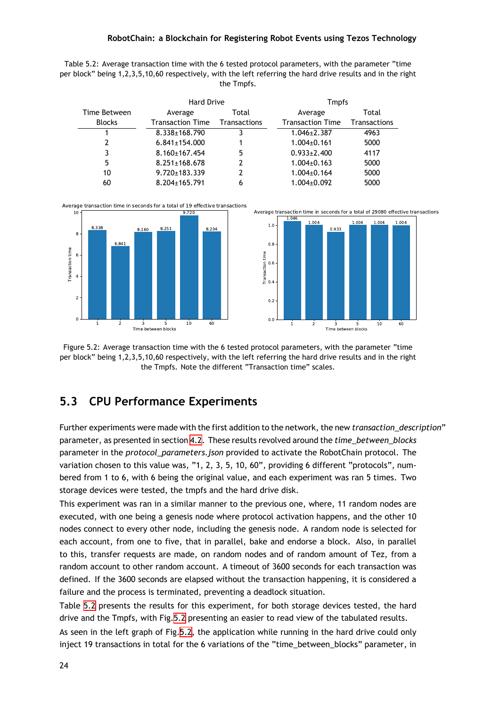Table 5.2: Average transaction time with the 6 tested protocol parameters, with the parameter "time per block" being 1,2,3,5,10,60 respectively, with the left referring the hard drive results and in the right the Tmpfs.

<span id="page-37-2"></span>

|               | <b>Hard Drive</b>       |              | <b>Tmpfs</b>            |                     |  |  |
|---------------|-------------------------|--------------|-------------------------|---------------------|--|--|
| Time Between  | Average                 | Total        | Average                 | Total               |  |  |
| <b>Blocks</b> | <b>Transaction Time</b> | Transactions | <b>Transaction Time</b> | <b>Transactions</b> |  |  |
|               | 8.338±168.790           |              | $1.046 \pm 2.387$       | 4963                |  |  |
| 2             | $6.841 \pm 154.000$     |              | $1.004\pm0.161$         | 5000                |  |  |
| 3             | 8.160±167.454           | 5            | $0.933 \pm 2.400$       | 4117                |  |  |
| 5             | $8.251 \pm 168.678$     | 2            | $1.004\pm0.163$         | 5000                |  |  |
| 10            | $9.720 \pm 183.339$     | 2            | $1.004\pm0.164$         | 5000                |  |  |
| 60            | $8.204 \pm 165.791$     | 6            | $1.004 \pm 0.092$       | 5000                |  |  |

<span id="page-37-1"></span>



### **5.3 CPU Performance Experiments**

<span id="page-37-0"></span>Further experiments were made with the first addition to the network, the new *transaction\_description*" parameter, as presented in section 4.2. These results revolved around the *time\_between\_blocks* parameter in the *protocol\_parameters.json* provided to activate the RobotChain protocol. The variation chosen to this value was, "1, 2, 3, 5, 10, 60", providing 6 different "protocols", numbered from 1 to 6, with 6 being th[e or](#page-28-2)iginal value, and each experiment was ran 5 times. Two storage devices were tested, the tmpfs and the hard drive disk.

This experiment was ran in a similar manner to the previous one, where, 11 random nodes are executed, with one being a genesis node where protocol activation happens, and the other 10 nodes connect to every other node, including the genesis node. A random node is selected for each account, from one to five, that in parallel, bake and endorse a block. Also, in parallel to this, transfer requests are made, on random nodes and of random amount of Tez, from a random account to other random account. A timeout of 3600 seconds for each transaction was defined. If the 3600 seconds are elapsed without the transaction happening, it is considered a failure and the process is terminated, preventing a deadlock situation.

Table 5.2 presents the results for this experiment, for both storage devices tested, the hard drive and the Tmpfs, with Fig.5.2 presenting an easier to read view of the tabulated results.

As seen in the left graph of Fig.5.2, the application while running in the hard drive could only inject [19 t](#page-37-2)ransactions in total for the 6 variations of the "time\_between\_blocks" parameter, in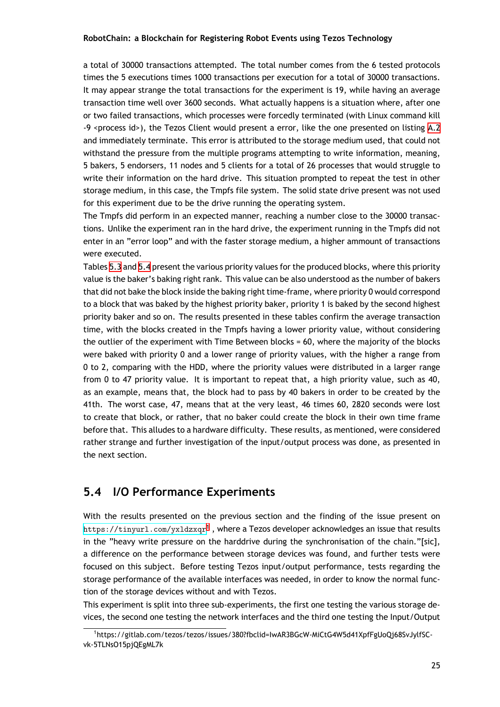a total of 30000 transactions attempted. The total number comes from the 6 tested protocols times the 5 executions times 1000 transactions per execution for a total of 30000 transactions. It may appear strange the total transactions for the experiment is 19, while having an average transaction time well over 3600 seconds. What actually happens is a situation where, after one or two failed transactions, which processes were forcedly terminated (with Linux command kill -9 <process id>), the Tezos Client would present a error, like the one presented on listing A.2 and immediately terminate. This error is attributed to the storage medium used, that could not withstand the pressure from the multiple programs attempting to write information, meaning, 5 bakers, 5 endorsers, 11 nodes and 5 clients for a total of 26 processes that would struggl[e to](#page-53-0) write their information on the hard drive. This situation prompted to repeat the test in other storage medium, in this case, the Tmpfs file system. The solid state drive present was not used for this experiment due to be the drive running the operating system.

The Tmpfs did perform in an expected manner, reaching a number close to the 30000 transactions. Unlike the experiment ran in the hard drive, the experiment running in the Tmpfs did not enter in an "error loop" and with the faster storage medium, a higher ammount of transactions were executed.

Tables 5.3 and 5.4 present the various priority values for the produced blocks, where this priority value is the baker's baking right rank. This value can be also understood as the number of bakers that did not bake the block inside the baking right time-frame, where priority 0 would correspond to a bl[ock](#page-39-1) that [was](#page-40-0) baked by the highest priority baker, priority 1 is baked by the second highest priority baker and so on. The results presented in these tables confirm the average transaction time, with the blocks created in the Tmpfs having a lower priority value, without considering the outlier of the experiment with Time Between blocks = 60, where the majority of the blocks were baked with priority 0 and a lower range of priority values, with the higher a range from 0 to 2, comparing with the HDD, where the priority values were distributed in a larger range from 0 to 47 priority value. It is important to repeat that, a high priority value, such as 40, as an example, means that, the block had to pass by 40 bakers in order to be created by the 41th. The worst case, 47, means that at the very least, 46 times 60, 2820 seconds were lost to create that block, or rather, that no baker could create the block in their own time frame before that. This alludes to a hardware difficulty. These results, as mentioned, were considered rather strange and further investigation of the input/output process was done, as presented in the next section.

### **5.4 I/O Performance Experiments**

<span id="page-38-0"></span>With the results presented on the previous section and the finding of the issue present on <code>https://tinyurl.com/yx1dzxqr $^1$ </code> , where a Tezos developer acknowledges an issue that results in the "heavy write pressure on the harddrive during the synchronisation of the chain."[sic], a difference on the performance between storage devices was found, and further tests were [focused on this subject. Before](https://tinyurl.com/yxldzxqr) testing Tezos input/output performance, tests regarding the storage performance of the available interfaces was needed, in order to know the normal function of the storage devices without and with Tezos.

This experiment is split into three sub-experiments, the first one testing the various storage devices, the second one testing the network interfaces and the third one testing the Input/Output

<sup>1</sup> https://gitlab.com/tezos/tezos/issues/380?fbclid=IwAR3BGcW-MiCtG4W5d41XpfFgUoQj68SvJylfSCvk-5TLNsO15pjQEgML7k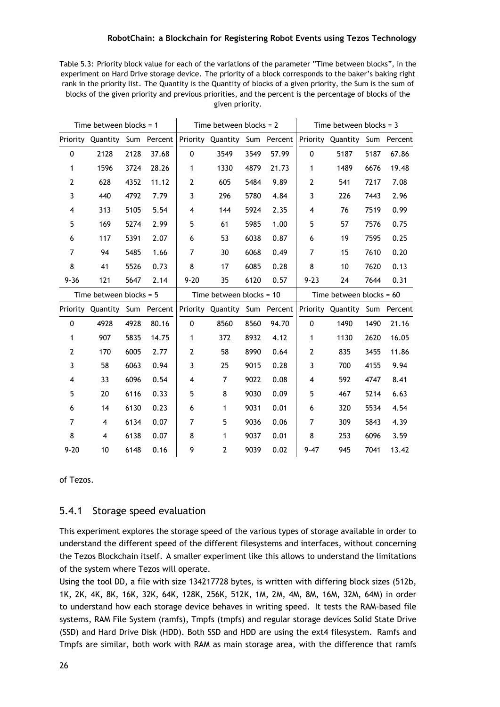<span id="page-39-1"></span>

| Table 5.3: Priority block value for each of the variations of the parameter "Time between blocks", in the    |
|--------------------------------------------------------------------------------------------------------------|
| experiment on Hard Drive storage device. The priority of a block corresponds to the baker's baking right     |
| rank in the priority list. The Quantity is the Quantity of blocks of a given priority, the Sum is the sum of |
| blocks of the given priority and previous priorities, and the percent is the percentage of blocks of the     |
| given priority.                                                                                              |

|                           | Time between blocks = $1$     |      |         | Time between blocks = $2$ |                               |      |       | Time between blocks = $3$ |                            |      |             |
|---------------------------|-------------------------------|------|---------|---------------------------|-------------------------------|------|-------|---------------------------|----------------------------|------|-------------|
|                           | Priority Quantity Sum         |      | Percent |                           | Priority Quantity Sum Percent |      |       |                           | Priority Quantity          |      | Sum Percent |
| 0                         | 2128                          | 2128 | 37.68   | 0                         | 3549                          | 3549 | 57.99 | 0                         | 5187                       | 5187 | 67.86       |
| 1                         | 1596                          | 3724 | 28.26   | $\mathbf{1}$              | 1330                          | 4879 | 21.73 | 1                         | 1489                       | 6676 | 19.48       |
| $\mathbf{2}$              | 628                           | 4352 | 11.12   | $\mathbf{2}$              | 605                           | 5484 | 9.89  | $\mathbf{2}$              | 541                        | 7217 | 7.08        |
| 3                         | 440                           | 4792 | 7.79    | 3                         | 296                           | 5780 | 4.84  | 3                         | 226                        | 7443 | 2.96        |
| 4                         | 313                           | 5105 | 5.54    | 4                         | 144                           | 5924 | 2.35  | 4                         | 76                         | 7519 | 0.99        |
| 5                         | 169                           | 5274 | 2.99    | 5                         | 61                            | 5985 | 1.00  | 5                         | 57                         | 7576 | 0.75        |
| 6                         | 117                           | 5391 | 2.07    | 6                         | 53                            | 6038 | 0.87  | 6                         | 19                         | 7595 | 0.25        |
| $\overline{7}$            | 94                            | 5485 | 1.66    | 7                         | 30                            | 6068 | 0.49  | $\overline{7}$            | 15                         | 7610 | 0.20        |
| 8                         | 41                            | 5526 | 0.73    | 8                         | 17                            | 6085 | 0.28  | 8                         | 10                         | 7620 | 0.13        |
| $9 - 36$                  | 121                           | 5647 | 2.14    | $9 - 20$                  | 35                            | 6120 | 0.57  | $9 - 23$                  | 24                         | 7644 | 0.31        |
| Time between blocks = $5$ |                               |      |         |                           |                               |      |       |                           |                            |      |             |
|                           |                               |      |         |                           | Time between blocks = 10      |      |       |                           | Time between blocks = $60$ |      |             |
|                           | Priority Quantity Sum Percent |      |         |                           | Priority Quantity Sum Percent |      |       |                           | Priority Quantity Sum      |      | Percent     |
| 0                         | 4928                          | 4928 | 80.16   | 0                         | 8560                          | 8560 | 94.70 | $\mathbf{0}$              | 1490                       | 1490 | 21.16       |
| 1                         | 907                           | 5835 | 14.75   | $\mathbf{1}$              | 372                           | 8932 | 4.12  | $\mathbf{1}$              | 1130                       | 2620 | 16.05       |
| $\mathbf{2}$              | 170                           | 6005 | 2.77    | $\mathbf{2}$              | 58                            | 8990 | 0.64  | $\mathbf{2}$              | 835                        | 3455 | 11.86       |
| 3                         | 58                            | 6063 | 0.94    | 3                         | 25                            | 9015 | 0.28  | 3                         | 700                        | 4155 | 9.94        |
| 4                         | 33                            | 6096 | 0.54    | 4                         | $\overline{7}$                | 9022 | 0.08  | 4                         | 592                        | 4747 | 8.41        |
| 5                         | 20                            | 6116 | 0.33    | 5                         | 8                             | 9030 | 0.09  | 5                         | 467                        | 5214 | 6.63        |
| 6                         | 14                            | 6130 | 0.23    | 6                         | 1                             | 9031 | 0.01  | 6                         | 320                        | 5534 | 4.54        |
| $\overline{7}$            | 4                             | 6134 | 0.07    | 7                         | 5                             | 9036 | 0.06  | $\overline{7}$            | 309                        | 5843 | 4.39        |
| 8                         | 4                             | 6138 | 0.07    | 8                         | 1                             | 9037 | 0.01  | 8                         | 253                        | 6096 | 3.59        |

of Tezos.

#### <span id="page-39-0"></span>5.4.1 Storage speed evaluation

This experiment explores the storage speed of the various types of storage available in order to understand the different speed of the different filesystems and interfaces, without concerning the Tezos Blockchain itself. A smaller experiment like this allows to understand the limitations of the system where Tezos will operate.

Using the tool DD, a file with size 134217728 bytes, is written with differing block sizes (512b, 1K, 2K, 4K, 8K, 16K, 32K, 64K, 128K, 256K, 512K, 1M, 2M, 4M, 8M, 16M, 32M, 64M) in order to understand how each storage device behaves in writing speed. It tests the RAM-based file systems, RAM File System (ramfs), Tmpfs (tmpfs) and regular storage devices Solid State Drive (SSD) and Hard Drive Disk (HDD). Both SSD and HDD are using the ext4 filesystem. Ramfs and Tmpfs are similar, both work with RAM as main storage area, with the difference that ramfs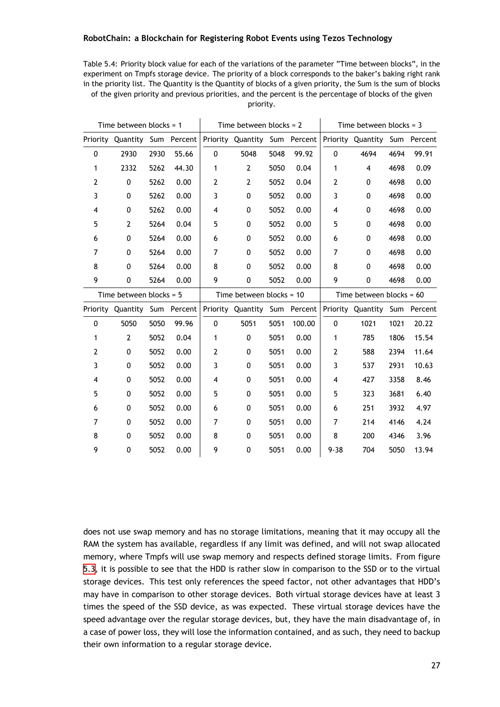Table 5.4: Priority block value for each of the variations of the parameter "Time between blocks", in the experiment on Tmpfs storage device. The priority of a block corresponds to the baker's baking right rank in the priority list. The Quantity is the Quantity of blocks of a given priority, the Sum is the sum of blocks of the given priority and previous priorities, and the percent is the percentage of blocks of the given priority.

<span id="page-40-0"></span>

| Time between blocks = $1$ |                               |      |         | Time between blocks = $2$ |                               |      |         | Time between blocks = $3$  |                   |      |             |
|---------------------------|-------------------------------|------|---------|---------------------------|-------------------------------|------|---------|----------------------------|-------------------|------|-------------|
|                           | Priority Quantity Sum Percent |      |         |                           | Priority Quantity Sum Percent |      |         |                            | Priority Quantity |      | Sum Percent |
| 0                         | 2930                          | 2930 | 55.66   | 0                         | 5048                          | 5048 | 99.92   | 0                          | 4694              | 4694 | 99.91       |
| 1                         | 2332                          | 5262 | 44.30   | 1                         | $\mathbf{2}$                  | 5050 | 0.04    | 1                          | 4                 | 4698 | 0.09        |
| 2                         | 0                             | 5262 | 0.00    | $\mathbf{2}$              | 2                             | 5052 | 0.04    | $\mathbf{2}$               | 0                 | 4698 | 0.00        |
| 3                         | $\mathbf 0$                   | 5262 | 0.00    | 3                         | 0                             | 5052 | 0.00    | 3                          | 0                 | 4698 | 0.00        |
| 4                         | 0                             | 5262 | 0.00    | 4                         | 0                             | 5052 | 0.00    | 4                          | 0                 | 4698 | 0.00        |
| 5                         | $\overline{2}$                | 5264 | 0.04    | 5                         | 0                             | 5052 | 0.00    | 5                          | 0                 | 4698 | 0.00        |
| 6                         | $\pmb{0}$                     | 5264 | 0.00    | 6                         | 0                             | 5052 | 0.00    | 6                          | 0                 | 4698 | 0.00        |
| 7                         | 0                             | 5264 | 0.00    | 7                         | 0                             | 5052 | 0.00    | $\overline{7}$             | 0                 | 4698 | 0.00        |
| 8                         | 0                             | 5264 | 0.00    | 8                         | 0                             | 5052 | 0.00    | 8                          | 0                 | 4698 | 0.00        |
| 9                         | 0                             | 5264 | 0.00    | 9                         | 0                             | 5052 | 0.00    | 9                          | 0                 | 4698 | 0.00        |
|                           | Time between blocks = $5$     |      |         |                           | Time between blocks = 10      |      |         | Time between blocks = $60$ |                   |      |             |
| Priority                  | Quantity                      | Sum  | Percent |                           | Priority Quantity             | Sum  | Percent | Priority                   | Quantity          | Sum  | Percent     |
| 0                         | 5050                          | 5050 | 99.96   | 0                         | 5051                          | 5051 | 100.00  | 0                          | 1021              | 1021 | 20.22       |
| 1                         | $\mathbf{2}$                  | 5052 | 0.04    | 1                         | 0                             | 5051 | 0.00    | 1                          | 785               | 1806 | 15.54       |
| 2                         | 0                             | 5052 | 0.00    | 2                         | 0                             | 5051 | 0.00    | $\overline{2}$             | 588               | 2394 | 11.64       |
| 3                         | 0                             | 5052 | 0.00    | 3                         | 0                             | 5051 | 0.00    | 3                          | 537               | 2931 | 10.63       |
| 4                         | $\mathbf 0$                   | 5052 | 0.00    | 4                         | 0                             | 5051 | 0.00    | 4                          | 427               | 3358 | 8.46        |
| 5                         | $\mathbf 0$                   | 5052 | 0.00    | 5                         | 0                             | 5051 | 0.00    | 5                          | 323               | 3681 | 6.40        |
| 6                         | 0                             | 5052 | 0.00    | 6                         | 0                             | 5051 | 0.00    | 6                          | 251               | 3932 | 4.97        |
| 7                         | $\mathbf 0$                   | 5052 | 0.00    | 7                         | 0                             | 5051 | 0.00    | $\overline{7}$             | 214               | 4146 | 4.24        |
| 8                         | 0                             | 5052 | 0.00    | 8                         | 0                             | 5051 | 0.00    | 8                          | 200               | 4346 | 3.96        |
| 9                         | 0                             | 5052 | 0.00    | 9                         | 0                             | 5051 | 0.00    | $9 - 38$                   | 704               | 5050 | 13.94       |

does not use swap memory and has no storage limitations, meaning that it may occupy all the RAM the system has available, regardless if any limit was defined, and will not swap allocated memory, where Tmpfs will use swap memory and respects defined storage limits. From figure 5.3, it is possible to see that the HDD is rather slow in comparison to the SSD or to the virtual storage devices. This test only references the speed factor, not other advantages that HDD's may have in comparison to other storage devices. Both virtual storage devices have at least 3 [tim](#page-41-1)es the speed of the SSD device, as was expected. These virtual storage devices have the speed advantage over the regular storage devices, but, they have the main disadvantage of, in a case of power loss, they will lose the information contained, and as such, they need to backup their own information to a regular storage device.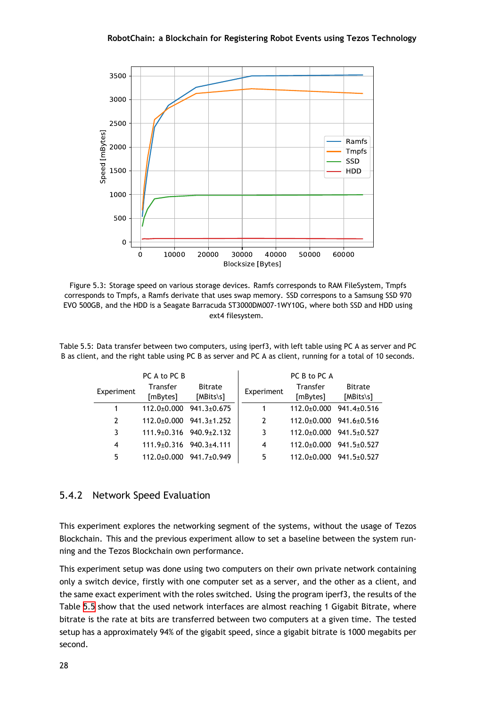

<span id="page-41-1"></span>

Figure 5.3: Storage speed on various storage devices. Ramfs corresponds to RAM FileSystem, Tmpfs corresponds to Tmpfs, a Ramfs derivate that uses swap memory. SSD correspons to a Samsung SSD 970 EVO 500GB, and the HDD is a Seagate Barracuda ST3000DM007-1WY10G, where both SSD and HDD using ext4 filesystem.

Table 5.5: Data transfer between two computers, using iperf3, with left table using PC A as server and PC B as client, and the right table using PC B as server and PC A as client, running for a total of 10 seconds.

<span id="page-41-2"></span>

|            | PC A to PC B                        |                                     |                | PC B to PC A                        |                             |
|------------|-------------------------------------|-------------------------------------|----------------|-------------------------------------|-----------------------------|
| Experiment | <b>Transfer</b>                     | <b>Bitrate</b>                      | Experiment     | Transfer                            | <b>Bitrate</b>              |
|            | [mBytes]                            | [MBits\s]                           |                | [mBytes]                            | [MBits\s]                   |
|            | $112.0 \pm 0.000$                   | $941.3 \pm 0.675$                   | 1              | $112.0 \pm 0.000$                   | $941.4 \pm 0.516$           |
| 2          |                                     | $112.0 \pm 0.000$ 941.3 $\pm 1.252$ | $\overline{2}$ |                                     | $112.0+0.000$ $941.6+0.516$ |
| 3          |                                     | $111.9 \pm 0.316$ $940.9 \pm 2.132$ | 3              | $112.0 \pm 0.000$ 941.5 $\pm 0.527$ |                             |
| 4          | $111.9 \pm 0.316$ 940.3 $\pm 4.111$ |                                     | 4              | $112.0 \pm 0.000$                   | 941.5±0.527                 |
| 5          | $112.0 \pm 0.000$                   | 941.7±0.949                         | 5              | $112.0 \pm 0.000$                   | $941.5 \pm 0.527$           |

#### 5.4.2 Network Speed Evaluation

<span id="page-41-0"></span>This experiment explores the networking segment of the systems, without the usage of Tezos Blockchain. This and the previous experiment allow to set a baseline between the system running and the Tezos Blockchain own performance.

This experiment setup was done using two computers on their own private network containing only a switch device, firstly with one computer set as a server, and the other as a client, and the same exact experiment with the roles switched. Using the program iperf3, the results of the Table 5.5 show that the used network interfaces are almost reaching 1 Gigabit Bitrate, where bitrate is the rate at bits are transferred between two computers at a given time. The tested setup has a approximately 94% of the gigabit speed, since a gigabit bitrate is 1000 megabits per secon[d.](#page-41-2)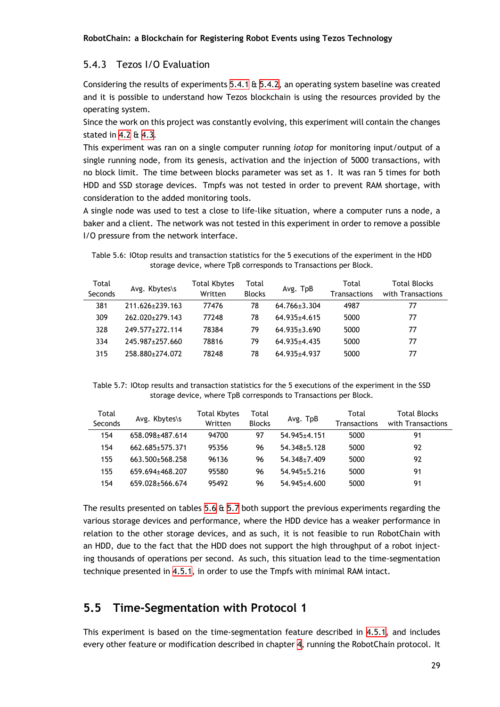#### 5.4.3 Tezos I/O Evaluation

Considering the results of experiments  $5.4.1 \text{ ft } 5.4.2$ , an operating system baseline was created and it is possible to understand how Tezos blockchain is using the resources provided by the operating system.

<span id="page-42-0"></span>Since the work on this project was cons[tantly](#page-39-0) e[volvin](#page-41-0)g, this experiment will contain the changes stated in 4.2 & 4.3.

This experiment was ran on a single computer running *iotop* for monitoring input/output of a single running node, from its genesis, activation and the injection of 5000 transactions, with no block [limi](#page-28-2)t. [The](#page-29-0) time between blocks parameter was set as 1. It was ran 5 times for both HDD and SSD storage devices. Tmpfs was not tested in order to prevent RAM shortage, with consideration to the added monitoring tools.

A single node was used to test a close to life-like situation, where a computer runs a node, a baker and a client. The network was not tested in this experiment in order to remove a possible I/O pressure from the network interface.

Table 5.6: IOtop results and transaction statistics for the 5 executions of the experiment in the HDD storage device, where TpB corresponds to Transactions per Block.

<span id="page-42-2"></span>

| Total<br>Seconds | Avg. Kbytes\s   | Total Kbytes<br>Written | Total<br><b>Blocks</b> | Avg. TpB         | Total<br><b>Transactions</b> | <b>Total Blocks</b><br>with Transactions |
|------------------|-----------------|-------------------------|------------------------|------------------|------------------------------|------------------------------------------|
| 381              | 211.626+239.163 | 77476                   | 78                     | $64.766 + 3.304$ | 4987                         | 77                                       |
| 309              | 262.020+279.143 | 77248                   | 78                     | 64.935+4.615     | 5000                         | 77                                       |
| 328              | 249.577+272.114 | 78384                   | 79                     | $64.935 + 3.690$ | 5000                         | 77                                       |
| 334              | 245.987+257.660 | 78816                   | 79                     | 64.935+4.435     | 5000                         | 77                                       |
| 315              | 258.880+274.072 | 78248                   | 78                     | $64.935 + 4.937$ | 5000                         | 77                                       |

Table 5.7: IOtop results and transaction statistics for the 5 executions of the experiment in the SSD storage device, where TpB corresponds to Transactions per Block.

<span id="page-42-3"></span>

| Total<br>Seconds | Avg. Kbytes\s   | <b>Total Kbytes</b><br>Written | Total<br><b>Blocks</b> | Avg. TpB           | Total<br><b>Transactions</b> | <b>Total Blocks</b><br>with Transactions |
|------------------|-----------------|--------------------------------|------------------------|--------------------|------------------------------|------------------------------------------|
| 154              | 658.098+487.614 | 94700                          | 97                     | 54.945+4.151       | 5000                         | 91                                       |
| 154              | 662.685±575.371 | 95356                          | 96                     | 54 348+5 128       | 5000                         | 92                                       |
| 155              | 663.500±568.258 | 96136                          | 96                     | 54 348+7 409       | 5000                         | 92                                       |
| 155              | 659.694±468.207 | 95580                          | 96                     | $54.945 \pm 5.216$ | 5000                         | 91                                       |
| 154              | 659.028±566.674 | 95492                          | 96                     | $54.945 \pm 4.600$ | 5000                         | 91                                       |

The results presented on tables 5.6 & 5.7 both support the previous experiments regarding the various storage devices and performance, where the HDD device has a weaker performance in relation to the other storage devices, and as such, it is not feasible to run RobotChain with an HDD, due to the fact that th[e H](#page-42-2)DD [doe](#page-42-3)s not support the high throughput of a robot injecting thousands of operations per second. As such, this situation lead to the time-segmentation technique presented in 4.5.1, in order to use the Tmpfs with minimal RAM intact.

#### **5.5 Time-Seg[menta](#page-30-2)tion with Protocol 1**

<span id="page-42-1"></span>This experiment is based on the time-segmentation feature described in 4.5.1, and includes every other feature or modification described in chapter 4, running the RobotChain protocol. It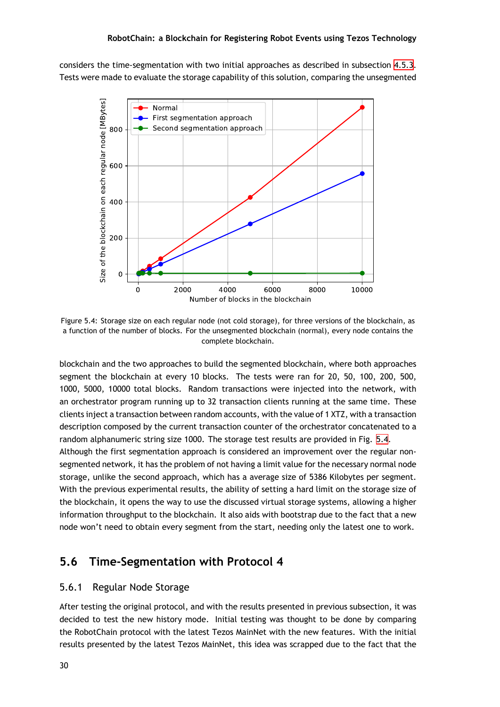considers the time-segmentation with two initial approaches as described in subsection 4.5.3. Tests were made to evaluate the storage capability of this solution, comparing the unsegmented

<span id="page-43-2"></span>

Figure 5.4: Storage size on each regular node (not cold storage), for three versions of the blockchain, as a function of the number of blocks. For the unsegmented blockchain (normal), every node contains the complete blockchain.

blockchain and the two approaches to build the segmented blockchain, where both approaches segment the blockchain at every 10 blocks. The tests were ran for 20, 50, 100, 200, 500, 1000, 5000, 10000 total blocks. Random transactions were injected into the network, with an orchestrator program running up to 32 transaction clients running at the same time. These clients inject a transaction between random accounts, with the value of 1 XTZ, with a transaction description composed by the current transaction counter of the orchestrator concatenated to a random alphanumeric string size 1000. The storage test results are provided in Fig. 5.4.

Although the first segmentation approach is considered an improvement over the regular nonsegmented network, it has the problem of not having a limit value for the necessary normal node storage, unlike the second approach, which has a average size of 5386 Kilobytes pe[r se](#page-43-2)gment. With the previous experimental results, the ability of setting a hard limit on the storage size of the blockchain, it opens the way to use the discussed virtual storage systems, allowing a higher information throughput to the blockchain. It also aids with bootstrap due to the fact that a new node won't need to obtain every segment from the start, needing only the latest one to work.

#### **5.6 Time-Segmentation with Protocol 4**

#### <span id="page-43-0"></span>5.6.1 Regular Node Storage

<span id="page-43-1"></span>After testing the original protocol, and with the results presented in previous subsection, it was decided to test the new history mode. Initial testing was thought to be done by comparing the RobotChain protocol with the latest Tezos MainNet with the new features. With the initial results presented by the latest Tezos MainNet, this idea was scrapped due to the fact that the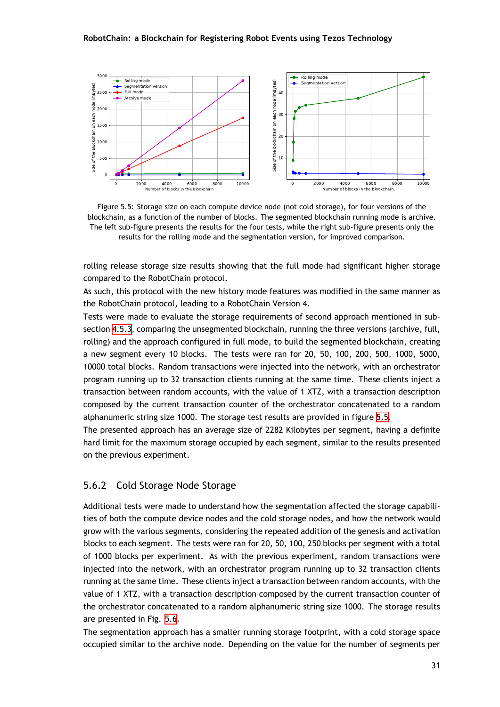<span id="page-44-1"></span>

Figure 5.5: Storage size on each compute device node (not cold storage), for four versions of the blockchain, as a function of the number of blocks. The segmented blockchain running mode is archive. The left sub-figure presents the results for the four tests, while the right sub-figure presents only the results for the rolling mode and the segmentation version, for improved comparison.

rolling release storage size results showing that the full mode had significant higher storage compared to the RobotChain protocol.

As such, this protocol with the new history mode features was modified in the same manner as the RobotChain protocol, leading to a RobotChain Version 4.

Tests were made to evaluate the storage requirements of second approach mentioned in subsection 4.5.3, comparing the unsegmented blockchain, running the three versions (archive, full, rolling) and the approach configured in full mode, to build the segmented blockchain, creating a new segment every 10 blocks. The tests were ran for 20, 50, 100, 200, 500, 1000, 5000, 10000 t[otal b](#page-32-0)locks. Random transactions were injected into the network, with an orchestrator program running up to 32 transaction clients running at the same time. These clients inject a transaction between random accounts, with the value of 1 XTZ, with a transaction description composed by the current transaction counter of the orchestrator concatenated to a random alphanumeric string size 1000. The storage test results are provided in figure 5.5.

The presented approach has an average size of 2282 Kilobytes per segment, having a definite hard limit for the maximum storage occupied by each segment, similar to the results presented on the previous experiment.

#### 5.6.2 Cold Storage Node Storage

<span id="page-44-0"></span>Additional tests were made to understand how the segmentation affected the storage capabilities of both the compute device nodes and the cold storage nodes, and how the network would grow with the various segments, considering the repeated addition of the genesis and activation blocks to each segment. The tests were ran for 20, 50, 100, 250 blocks per segment with a total of 1000 blocks per experiment. As with the previous experiment, random transactions were injected into the network, with an orchestrator program running up to 32 transaction clients running at the same time. These clients inject a transaction between random accounts, with the value of 1 XTZ, with a transaction description composed by the current transaction counter of the orchestrator concatenated to a random alphanumeric string size 1000. The storage results are presented in Fig. 5.6.

The segmentation approach has a smaller running storage footprint, with a cold storage space occupied similar to the archive node. Depending on the value for the number of segments per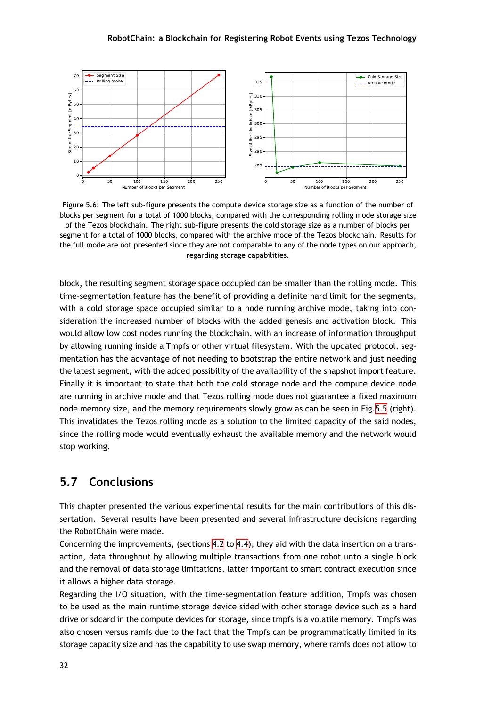

<span id="page-45-1"></span>

Figure 5.6: The left sub-figure presents the compute device storage size as a function of the number of blocks per segment for a total of 1000 blocks, compared with the corresponding rolling mode storage size of the Tezos blockchain. The right sub-figure presents the cold storage size as a number of blocks per segment for a total of 1000 blocks, compared with the archive mode of the Tezos blockchain. Results for the full mode are not presented since they are not comparable to any of the node types on our approach, regarding storage capabilities.

block, the resulting segment storage space occupied can be smaller than the rolling mode. This time-segmentation feature has the benefit of providing a definite hard limit for the segments, with a cold storage space occupied similar to a node running archive mode, taking into consideration the increased number of blocks with the added genesis and activation block. This would allow low cost nodes running the blockchain, with an increase of information throughput by allowing running inside a Tmpfs or other virtual filesystem. With the updated protocol, segmentation has the advantage of not needing to bootstrap the entire network and just needing the latest segment, with the added possibility of the availability of the snapshot import feature. Finally it is important to state that both the cold storage node and the compute device node are running in archive mode and that Tezos rolling mode does not guarantee a fixed maximum node memory size, and the memory requirements slowly grow as can be seen in Fig.5.5 (right). This invalidates the Tezos rolling mode as a solution to the limited capacity of the said nodes, since the rolling mode would eventually exhaust the available memory and the network would stop working.

#### **5.7 Conclusions**

<span id="page-45-0"></span>This chapter presented the various experimental results for the main contributions of this dissertation. Several results have been presented and several infrastructure decisions regarding the RobotChain were made.

Concerning the improvements, (sections 4.2 to 4.4), they aid with the data insertion on a transaction, data throughput by allowing multiple transactions from one robot unto a single block and the removal of data storage limitations, latter important to smart contract execution since it allows a higher data storage.

Regarding the I/O situation, with the ti[me-](#page-28-2)se[gme](#page-30-0)ntation feature addition, Tmpfs was chosen to be used as the main runtime storage device sided with other storage device such as a hard drive or sdcard in the compute devices for storage, since tmpfs is a volatile memory. Tmpfs was also chosen versus ramfs due to the fact that the Tmpfs can be programmatically limited in its storage capacity size and has the capability to use swap memory, where ramfs does not allow to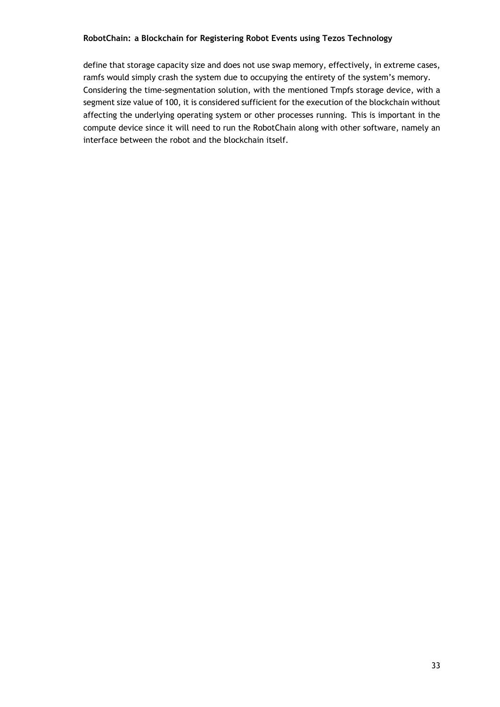define that storage capacity size and does not use swap memory, effectively, in extreme cases, ramfs would simply crash the system due to occupying the entirety of the system's memory. Considering the time-segmentation solution, with the mentioned Tmpfs storage device, with a segment size value of 100, it is considered sufficient for the execution of the blockchain without affecting the underlying operating system or other processes running. This is important in the compute device since it will need to run the RobotChain along with other software, namely an interface between the robot and the blockchain itself.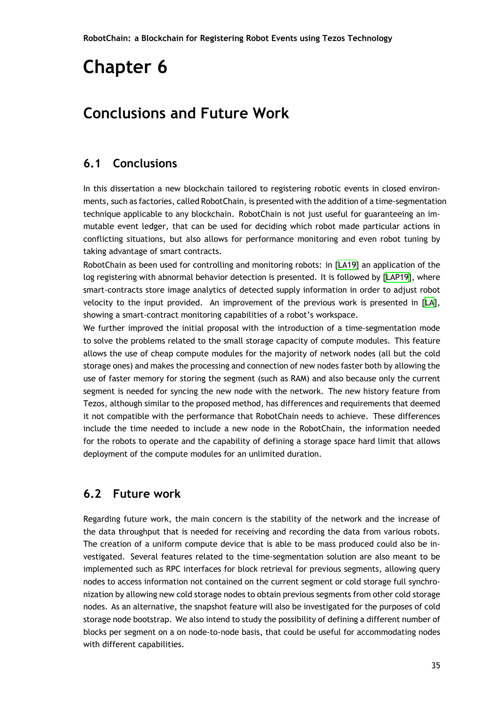## <span id="page-48-0"></span>**Conclusions and Future Work**

### **6.1 Conclusions**

<span id="page-48-1"></span>In this dissertation a new blockchain tailored to registering robotic events in closed environments, such as factories, called RobotChain, is presented with the addition of a time-segmentation technique applicable to any blockchain. RobotChain is not just useful for guaranteeing an immutable event ledger, that can be used for deciding which robot made particular actions in conflicting situations, but also allows for performance monitoring and even robot tuning by taking advantage of smart contracts.

RobotChain as been used for controlling and monitoring robots: in [LA19] an application of the log registering with abnormal behavior detection is presented. It is followed by [LAP19], where smart-contracts store image analytics of detected supply information in order to adjust robot velocity to the input provided. An improvement of the previous [work](#page-51-8) is presented in [LA], showing a smart-contract monitoring capabilities of a robot's workspace.

We further improved the initial proposal with the introduction of a time-segmentation mode to solve the problems related to the small storage capacity of compute modules. This fea[tur](#page-51-9)e allows the use of cheap compute modules for the majority of network nodes (all but the cold storage ones) and makes the processing and connection of new nodes faster both by allowing the use of faster memory for storing the segment (such as RAM) and also because only the current segment is needed for syncing the new node with the network. The new history feature from Tezos, although similar to the proposed method, has differences and requirements that deemed it not compatible with the performance that RobotChain needs to achieve. These differences include the time needed to include a new node in the RobotChain, the information needed for the robots to operate and the capability of defining a storage space hard limit that allows deployment of the compute modules for an unlimited duration.

#### **6.2 Future work**

<span id="page-48-2"></span>Regarding future work, the main concern is the stability of the network and the increase of the data throughput that is needed for receiving and recording the data from various robots. The creation of a uniform compute device that is able to be mass produced could also be investigated. Several features related to the time-segmentation solution are also meant to be implemented such as RPC interfaces for block retrieval for previous segments, allowing query nodes to access information not contained on the current segment or cold storage full synchronization by allowing new cold storage nodes to obtain previous segments from other cold storage nodes. As an alternative, the snapshot feature will also be investigated for the purposes of cold storage node bootstrap. We also intend to study the possibility of defining a different number of blocks per segment on a on node-to-node basis, that could be useful for accommodating nodes with different capabilities.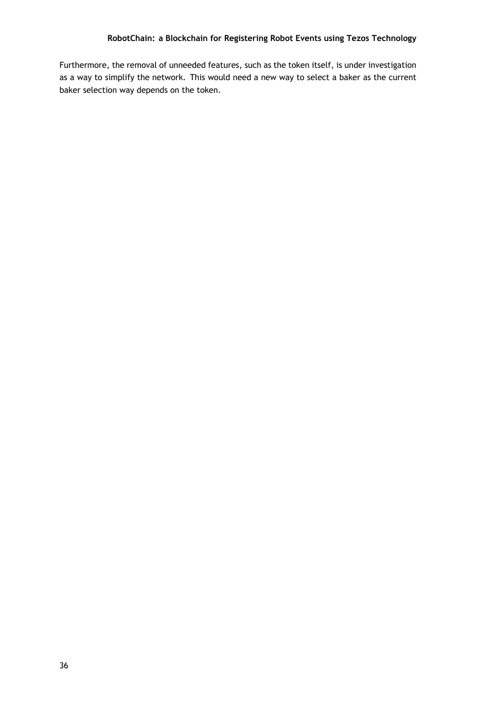Furthermore, the removal of unneeded features, such as the token itself, is under investigation as a way to simplify the network. This would need a new way to select a baker as the current baker selection way depends on the token.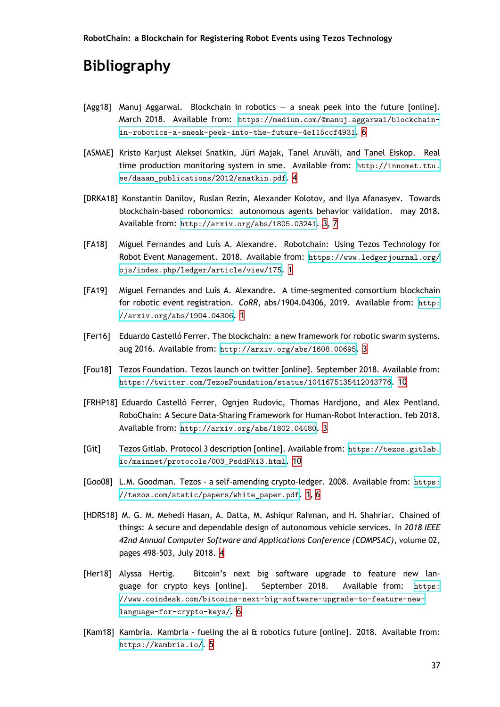## **Bibliography**

<span id="page-50-0"></span>[Agg18] Manuj Aggarwal. Blockchain in robotics — a sneak peek into the future [online]. March 2018. Available from: https://medium.com/@manuj.aggarwal/blockchainin-robotics-a-sneak-peek-into-the-future-4e115ccf4931. 6

**RobotChain: a Blockchain for Registering Robot Events using Tezos Technology**

- <span id="page-50-8"></span>[ASMAE] Kristo Karjust Aleksei Snatkin, Jüri Majak, Tanel Aruväli, and Tanel Eiskop. Real time production monitoring sy[stem in sme. Available from:](https://medium.com/@manuj.aggarwal/blockchain-in-robotics-a-sneak-peek-into-the-future-4e115ccf4931) h[tt](#page-19-1)p://innomet.ttu. [ee/daaam\\_publications/2012/snatkin.pdf](https://medium.com/@manuj.aggarwal/blockchain-in-robotics-a-sneak-peek-into-the-future-4e115ccf4931). 4
- <span id="page-50-6"></span>[DRKA18] Konstantin Danilov, Ruslan Rezin, Alexander Kolotov, and Ilya Afanasyev. Towards blockchain-based robonomics: autonomous agents behavior [validation. may 2018.](http://innomet.ttu.ee/daaam_publications/2012/snatkin.pdf) Available from: [http://arxiv.org/abs/1805](http://innomet.ttu.ee/daaam_publications/2012/snatkin.pdf)[.0](#page-17-1)3241. 3, 7
- <span id="page-50-4"></span>[FA18] Miguel Fernandes and Luís A. Alexandre. Robotchain: Using Tezos Technology for Robot Event Management. 2018. Available from: htt[ps](#page-16-2)[:/](#page-20-1)/www.ledgerjournal.org/ ojs/index.php[/ledger/article/view/175](http://arxiv.org/abs/1805.03241). 1
- <span id="page-50-2"></span>[FA19] Miguel Fernandes and Luís A. Alexandre. A time-segmented consortium blockchain for robotic event registration. *CoRR*, abs/1[90](#page-14-3)4.0[4306, 2019. Available from:](https://www.ledgerjournal.org/ojs/index.php/ledger/article/view/175) http: [//arxiv.org/abs/1904.04306](https://www.ledgerjournal.org/ojs/index.php/ledger/article/view/175). 1
- [Fer16] Eduardo Castelló Ferrer. The blockchain: a new framework for robotic swarm sy[stems.](http://arxiv.org/abs/1904.04306) [aug 2016. Available from:](http://arxiv.org/abs/1904.04306) http[:/](#page-14-3)/arxiv.org/abs/1608.00695. 3
- <span id="page-50-3"></span>[Fou18] Tezos Foundation. Tezos launch on twitter [online]. September 2018. Available from: https://twitter.com/Te[zosFoundation/status/10416751354](http://arxiv.org/abs/1608.00695)1[20](#page-16-2)43776. 10
- <span id="page-50-10"></span>[FRHP18] Eduardo Castelló Ferrer, Ognjen Rudovic, Thomas Hardjono, and Alex Pentland. RoboChain: A Secure Data-Sharing Framework for Human-Robot Interactio[n. f](#page-23-5)eb 2018. Available from: [http://arxiv.org/abs/1802.04480](https://twitter.com/TezosFoundation/status/1041675135412043776). 3
- [Git] Tezos Gitlab. Protocol 3 description [online]. Available from: https://tezos.gitlab. io/mainnet/pr[otocols/003\\_PsddFKi3.html](http://arxiv.org/abs/1802.04480). 10
- [Goo08] L.M. Goodman. Tezos a self-amending crypto-ledger. 2008[. Available from:](https://tezos.gitlab.io/mainnet/protocols/003_PsddFKi3.html) https: [//tezos.com/static/papers/white\\_paper.p](https://tezos.gitlab.io/mainnet/protocols/003_PsddFKi3.html)[df](#page-23-5). 1, 6
- <span id="page-50-1"></span>[HDRS18] M. G. M. Mehedi Hasan, A. Datta, M. Ashiqur Rahman, and H. Shahriar. Chained of things: A secure and dependable design of autonomous vehicle services. In *20[18 IEEE](https://tezos.com/static/papers/white_paper.pdf) [42nd Annual Computer Software and Application](https://tezos.com/static/papers/white_paper.pdf)s [C](#page-14-3)[on](#page-19-1)ference (COMPSAC)*, volume 02, pages 498–503, July 2018. 4
- <span id="page-50-5"></span>[Her18] Alyssa Hertig. Bitcoin's next big software upgrade to feature new language for crypto keys [online]. September 2018. Available from: https: //www.coindesk.com/bit[co](#page-17-1)ins-next-big-software-upgrade-to-feature-newlanguage-for-crypto-keys/. 6
- <span id="page-50-9"></span><span id="page-50-7"></span>[Kam18] [Kambria. Kambria - fueling the ai & robotics future \[online\]. 2018. Available from:](https://www.coindesk.com/bitcoins-next-big-software-upgrade-to-feature-new-language-for-crypto-keys/) [https://kambria.io/](https://www.coindesk.com/bitcoins-next-big-software-upgrade-to-feature-new-language-for-crypto-keys/). 5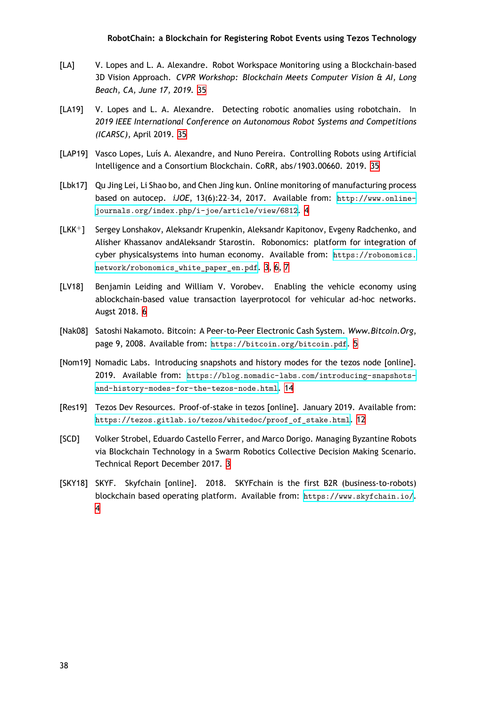- [LA] V. Lopes and L. A. Alexandre. Robot Workspace Monitoring using a Blockchain-based 3D Vision Approach. *CVPR Workshop: Blockchain Meets Computer Vision & AI, Long Beach, CA, June 17, 2019.* 35
- <span id="page-51-9"></span>[LA19] V. Lopes and L. A. Alexandre. Detecting robotic anomalies using robotchain. In *2019 IEEE International Conference on Autonomous Robot Systems and Competitions (ICARSC)*, April 2019. 35
- <span id="page-51-8"></span>[LAP19] Vasco Lopes, Luís A. Alexandre, and Nuno Pereira. Controlling Robots using Artificial Intelligence and a Consortium Blockchain. CoRR, abs/1903.00660. 2019. 35
- [Lbk17] Qu Jing Lei, Li Shao bo, and Chen Jing kun. Online monitoring of manufacturing process based on autocep. *iJOE*, 13(6):22–34, 2017. Available from: http://www.onlinejournals.org/index.php/i-joe/article/view/6812. 4
- <span id="page-51-2"></span>[LKK+] Sergey Lonshakov, Aleksandr Krupenkin, Aleksandr Kapitonov, Evgeny Radchenko, and Alisher Khassanov andAleksandr Starostin. Robonomics: platfo[rm for integration of](http://www.online-journals.org/index.php/i-joe/article/view/6812) [cyber physicalsystems into human economy. Availabl](http://www.online-journals.org/index.php/i-joe/article/view/6812)[e f](#page-17-1)rom: https://robonomics. network/robonomics\_white\_paper\_en.pdf. 3, 6, 7
- <span id="page-51-1"></span>[LV18] Benjamin Leiding and William V. Vorobev. Enabling the vehicle economy using ablockchain-based value transaction layerprotocol for vehic[ular ad-hoc networks.](https://robonomics.network/robonomics_white_paper_en.pdf) [Augst 2018.](https://robonomics.network/robonomics_white_paper_en.pdf) 6
- <span id="page-51-5"></span>[Nak08] Satoshi Nakamoto. Bitcoin: A Peer-to-Peer Electronic Cash System. *Www.Bitcoin.Org*, page 9, 2008. Available from: https://bitcoin.org/bitcoin.pdf. 5
- <span id="page-51-4"></span>[Nom19] Nomadic Labs. Introducing snapshots and history modes for the tezos node [online]. 2019. Available from: https://blog.nomadic-labs.com/introducing-snapshotsand-history-modes-for-the[-tezos-node.html](https://bitcoin.org/bitcoin.pdf). 14
- <span id="page-51-7"></span>[Res19] Tezos Dev Resources. Proof-of-stake in tezos [online]. January 2019. Available from: [https://tezos.gitlab.io/tezos/whitedoc/proof\\_of\\_stake.html](https://blog.nomadic-labs.com/introducing-snapshots-and-history-modes-for-the-tezos-node.html). 12
- <span id="page-51-6"></span>[SCD] Volker Strobel, Eduardo Castello Ferrer, and Marco Dorigo. Managing Byzantine Robots via Blockchain Technology in a Swarm Robotics Collective Decision Making Scenario. [Technical Report December 2017.](https://tezos.gitlab.io/tezos/whitedoc/proof_of_stake.html) 3
- <span id="page-51-3"></span><span id="page-51-0"></span>[SKY18] SKYF. Skyfchain [online]. 2018. SKYFchain is the first B2R (business-to-robots) blockchain based operating platform. Available from: https://www.skyfchain.io/. 4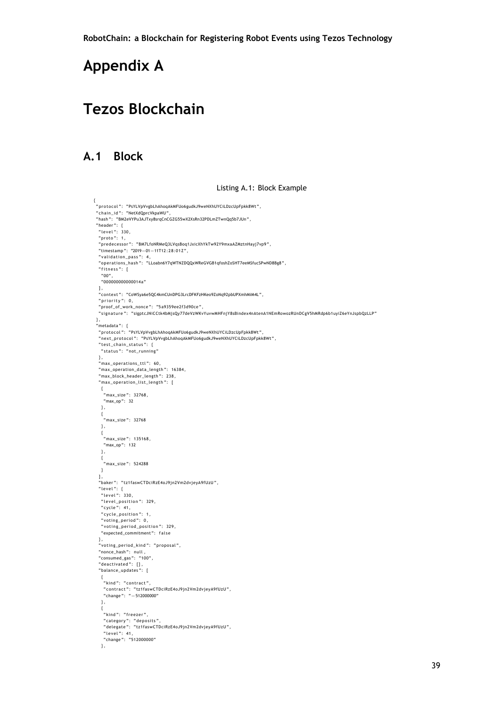## **Appendix A**

## **Tezos Blockchain**

#### **A.1 Block**

#### Listing A.1: Block Example

```
.<br>"protocol": "PsYLVpVvgbLhAhoqAkMFUo6gudkJ9weNXhUYCiLDzcUpFpkk8Wt",
methology of the railways and proceed to the respect that in the method of the method of the method of the set <br>" chain_id ": " NetXdQprcVkpaWU "
" hash " : "BM2eVYPu3AJTxy8srqCnCGZG55wX2XsRn32PDLmZTwnQq5b7JUn " ,
"header": {<br>"level": 330,<br>"proto": 1,
 "predecessor": "BM7LfoNRMeQ3LVqsBoq1JxicXhYkTw92Y9mxaAZMztnHayj7vp9",<br>"timestamp": "2019—01—11T12:28:01Z",
 " v alid ation_pass ": 4,<br>"oper ations_hash ":   "LLoabn6Y7qWTNZDQQxWReGVGB1qfoshZoSHT7eeMSfucSPwND8Bg8",
 " fitness": \overline{[}"00" ,
   "000000000000014 a"
 \overline{1},
 "context": "CoWSya6e5QC4kmCUnDPG3LrcDFKFzHKeo9ZoNq92pbUPXmhMiM4L",<br>"priority": 0,
 " proof_of_work_nonce " : "5 a9359ee2f3d90ce " ,
 " signature ": "sigptcJNiCCtk4bMjsQy77deVzWKvYuvwMHFnjY8sBindex4nAtenA1NEmRowozRUnDCgV5hMRdp6b1uyiZ6eYnJspbQzLLP
} ,
 .<br>"metadata": {
 " p r o t oc ol " : "PsYLVpVvgbLhAhoqAkMFUo6gudkJ9weNXhUYCiLDzcUpFpkk8Wt " ,
 " next_protocol": "PsYLVpVvgbLhAhoqAkMFUo6gudkJ9weNXhUYCiLDzcUpFpkk8Wt",
 " t e s t _ c h ai n _ s t a t u s " : {
  " status": "not_running"
 },<br>"max_operations_ttl": 60,
 "max_operation_data_length": 16384,
 "max_block_header_length": 238,
 " man_siten_itested_itergen : see
   {
"max_size " : 32768 ,
"max_op " : 32
  } ,
   {<br>"max_size": 32768
  \} ,
   {<br>   "max_size ":   135168,<br>  "max_op ":   132
  } ,
   {<br>"max_size": 524288<br>}
 \mathbf{1}.
 "baker": "tz1faswCTDciRzE4oJ9jn2Vm2dvjeyA9fUzU",<br>"level": {<br>"level": 330,
   "level_position": 329,<br>"cycle": 41,
  " cycle_position": 1,
  "voting\_period": 0,"voting_period_position": 329,
   "expected_commitment": false
 },<br>"voting_period_kind": "proposal",
 "nonce_hash": null,<br>"consumed_gas": "100",<br>"deactivated": [],<br>"balance_updates": [
   {<br>"kind": "contract",
    "contract": "tz1faswCTDciRzE4oJ9jn2Vm2dvjeyA9fUzU",<br>"change": "—512000000"
  } ,
  {
    .<br>"kind": "freezer",
    "category": "deposits",<br>"delegate": "tz1faswCTDciRzE4oJ9jn2Vm2dvjeyA9fUzU",
    "level": 41,<br>"change": "512000000"
  } ,
```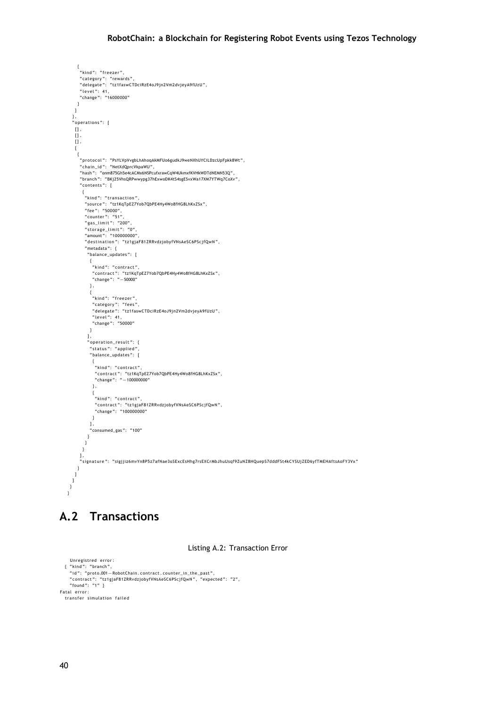```
{<br>"kind": "freezer",
        "category":  "rewards",<br>"delegate":  "tz1faswCTDciRzE4oJ9jn2Vm2dvjeyA9fUzU",
        "level": 41,<br>"change": "16000000"
     }
    \, \, \,},<br>"operations": [
    \overline{\mathfrak{g}},
    \Box,
    [ ],
    \mathbf{r}{<br>'"protocol": "PsYLVpVvgbLhAhoqAkMFUo6gudkJ9weNXhUYCiLDzcUpFpkk8Wt",
        "chain_id ":   "NetXdQprcVkpaWU",<br>"hash ":    "onm875Gh5e4cACMx6NSPcufxrawCqW4UkmxfKVHkWDTdNEMN53Q",
        " branch " : "BKj25VhsQRPwwypg37hExwoDK4tS4sgESvxWa17XM7YTWq7CoXv " ,
       " contents": [
          {<br>"kind": "transaction",
           "source": "tz1KqTpEZ7Yob7QbPE4Hy4Wo8fHG8LhKxZSx",<br>"fee": "50000",
           " counter": "51",<br>"gas_limit": "200",<br>"storage_limit": "0",<br>"amount": "100000000",
          " destination": "tz1gjaF81ZRRvdzjobyfVNsAeSC6PScjfQwN",
           "metadata": {
            " balance_updates " : [
            {<br>"kind": "contract",<br>"r" "t71KqT;"
               "kind": "contract",<br>"contract": "tz1KqTpEZ7Yob7QbPE4Hy4Wo8fHG8LhKxZSx",<br>"change": "−50000"
             } ,
              {<br>"kind": "freezer",
               "category": "fees",<br>"delegate": "tz1faswCTDciRzE4oJ9jn2Vm2dvjeyA9fUzU",<br>"level": 41,<br>"change": "50000"
             }
            \mathbf{1},
            " operation_result": {<br>,"status": "applied",
             " balance_updates " : [
                {<br>"kind": "contract",
                 "contract": "tz1KqTpEZ7Yob7QbPE4Hy4Wo8fHG8LhKxZSx",<br>"change": "—100000000"
               } ,
                {<br>"kind": "contract",
                 "contract":  "tz1gjaF81ZRRvdzjobyfVNsAeSC6PScjfQwN",<br>"change":  "100000000"
               }
             ] ,
              "consumed_gas": "100"
           }
          }
         }
        ],<br>"signature ":   "sigjjiz6mvYn8P5z7afNae3oSExcEsHhg7rsEXCrMbJhuUsqf9ZuNZ8HQuepS7dddFSt4kCYSUjZED6yfTMEHAftsAoFY3Vx"
      }
    ]
  ]
 }
}
```
### **A.2 Transactions**

Listing A.2: Transaction Error

```
Unregistred error:
   { "kind": "branch",<br>"id": "proto.001—RobotChain.contract.counter_in_the_past",
     "contract": "tz1gjaF81ZRRvdzjobyfVNsAeSC6PScjfQwN", "expected": "2",<br>"found": "1" }
Fatal error:
  transfer simulation failed
```